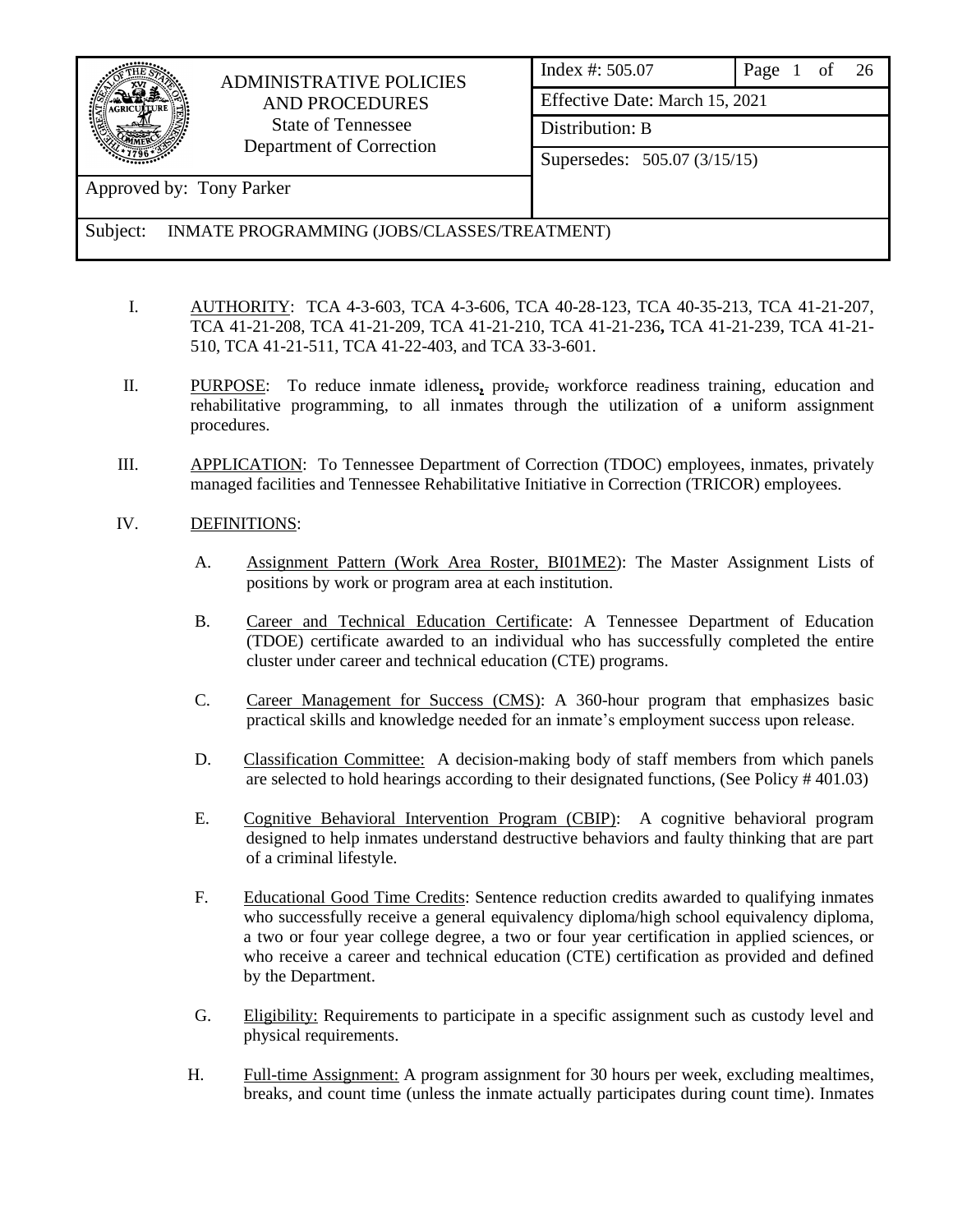

# ADMINISTRATIVE POLICIES AND PROCEDURES State of Tennessee Department of Correction

Index #: 505.07 Page 1 of 26 Effective Date: March 15, 2021 Distribution: B Supersedes: 505.07 (3/15/15)

Approved by: Tony Parker

- I. AUTHORITY: TCA 4-3-603, TCA 4-3-606, TCA 40-28-123, TCA 40-35-213, TCA 41-21-207, TCA 41-21-208, TCA 41-21-209, TCA 41-21-210, TCA 41-21-236**,** TCA 41-21-239, TCA 41-21- 510, TCA 41-21-511, TCA 41-22-403, and TCA 33-3-601.
- II. PURPOSE: To reduce inmate idleness**,** provide, workforce readiness training, education and rehabilitative programming, to all inmates through the utilization of a uniform assignment procedures.
- III. APPLICATION: To Tennessee Department of Correction (TDOC) employees, inmates, privately managed facilities and Tennessee Rehabilitative Initiative in Correction (TRICOR) employees.
- IV. DEFINITIONS:
	- A. Assignment Pattern (Work Area Roster, BI01ME2): The Master Assignment Lists of positions by work or program area at each institution.
	- B. Career and Technical Education Certificate: A Tennessee Department of Education (TDOE) certificate awarded to an individual who has successfully completed the entire cluster under career and technical education (CTE) programs.
	- C. Career Management for Success (CMS): A 360-hour program that emphasizes basic practical skills and knowledge needed for an inmate's employment success upon release.
	- D. Classification Committee: A decision-making body of staff members from which panels are selected to hold hearings according to their designated functions, (See Policy # 401.03)
	- E. Cognitive Behavioral Intervention Program (CBIP): A cognitive behavioral program designed to help inmates understand destructive behaviors and faulty thinking that are part of a criminal lifestyle.
	- F. Educational Good Time Credits: Sentence reduction credits awarded to qualifying inmates who successfully receive a general equivalency diploma/high school equivalency diploma, a two or four year college degree, a two or four year certification in applied sciences, or who receive a career and technical education (CTE) certification as provided and defined by the Department.
	- G. Eligibility: Requirements to participate in a specific assignment such as custody level and physical requirements.
	- H. Full-time Assignment: A program assignment for 30 hours per week, excluding mealtimes, breaks, and count time (unless the inmate actually participates during count time). Inmates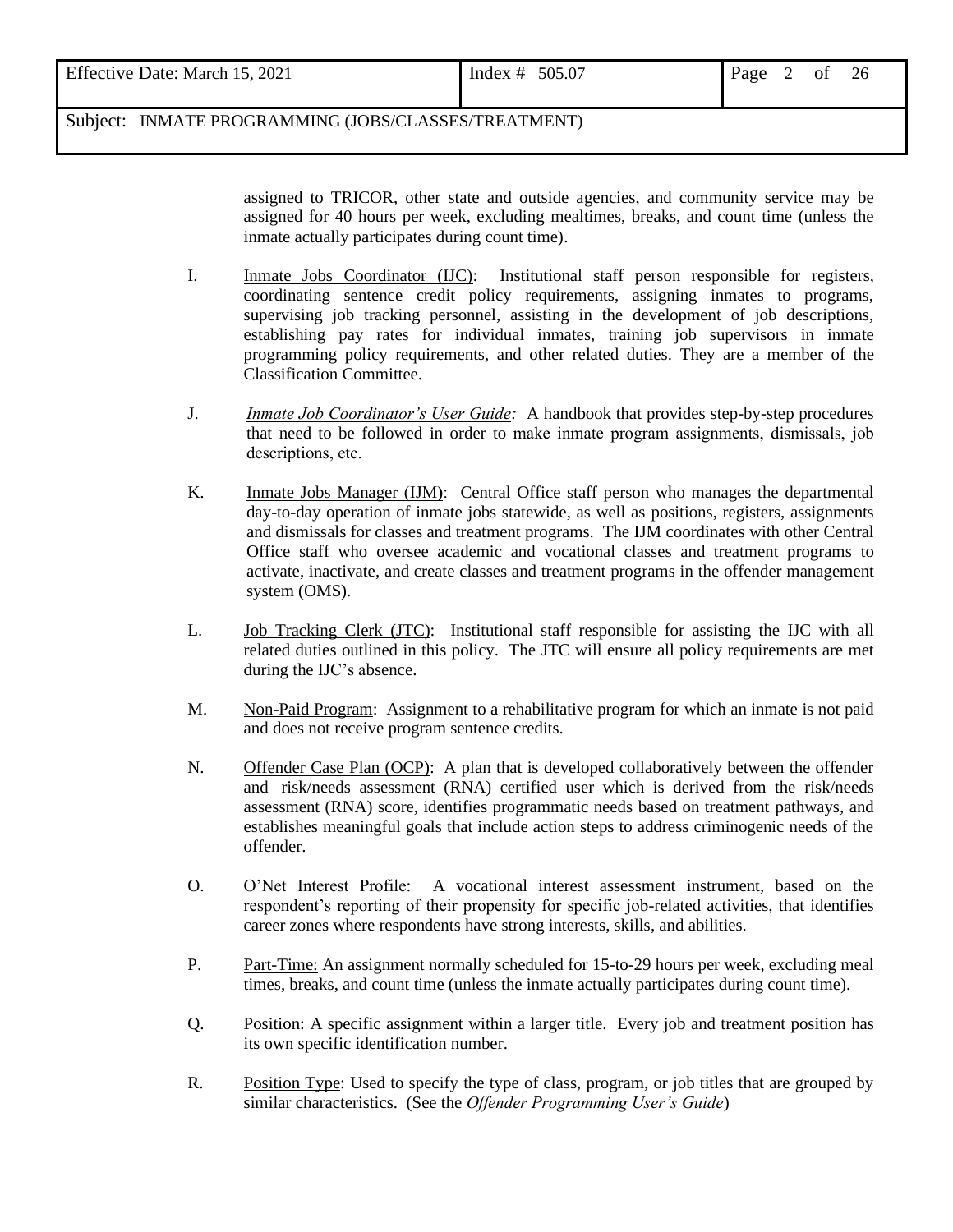| Effective Date: March 15, 2021 | Index # $505.07$ | Page 2 of $26$ |  |  |
|--------------------------------|------------------|----------------|--|--|
|                                |                  |                |  |  |

assigned to TRICOR, other state and outside agencies, and community service may be assigned for 40 hours per week, excluding mealtimes, breaks, and count time (unless the inmate actually participates during count time).

- I. Inmate Jobs Coordinator (IJC): Institutional staff person responsible for registers, coordinating sentence credit policy requirements, assigning inmates to programs, supervising job tracking personnel, assisting in the development of job descriptions, establishing pay rates for individual inmates, training job supervisors in inmate programming policy requirements, and other related duties. They are a member of the Classification Committee.
- J. *Inmate Job Coordinator's User Guide:* A handbook that provides step-by-step procedures that need to be followed in order to make inmate program assignments, dismissals, job descriptions, etc.
- K. Inmate Jobs Manager (IJM**)**: Central Office staff person who manages the departmental day-to-day operation of inmate jobs statewide, as well as positions, registers, assignments and dismissals for classes and treatment programs. The IJM coordinates with other Central Office staff who oversee academic and vocational classes and treatment programs to activate, inactivate, and create classes and treatment programs in the offender management system (OMS).
- L. Job Tracking Clerk (JTC): Institutional staff responsible for assisting the IJC with all related duties outlined in this policy. The JTC will ensure all policy requirements are met during the IJC's absence.
- M. Non-Paid Program: Assignment to a rehabilitative program for which an inmate is not paid and does not receive program sentence credits.
- N. Offender Case Plan (OCP): A plan that is developed collaboratively between the offender and risk/needs assessment (RNA) certified user which is derived from the risk/needs assessment (RNA) score, identifies programmatic needs based on treatment pathways, and establishes meaningful goals that include action steps to address criminogenic needs of the offender.
- O. O'Net Interest Profile: A vocational interest assessment instrument, based on the respondent's reporting of their propensity for specific job-related activities, that identifies career zones where respondents have strong interests, skills, and abilities.
- P. Part-Time: An assignment normally scheduled for 15-to-29 hours per week, excluding meal times, breaks, and count time (unless the inmate actually participates during count time).
- Q. Position: A specific assignment within a larger title. Every job and treatment position has its own specific identification number.
- R. Position Type: Used to specify the type of class, program, or job titles that are grouped by similar characteristics. (See the *Offender Programming User's Guide*)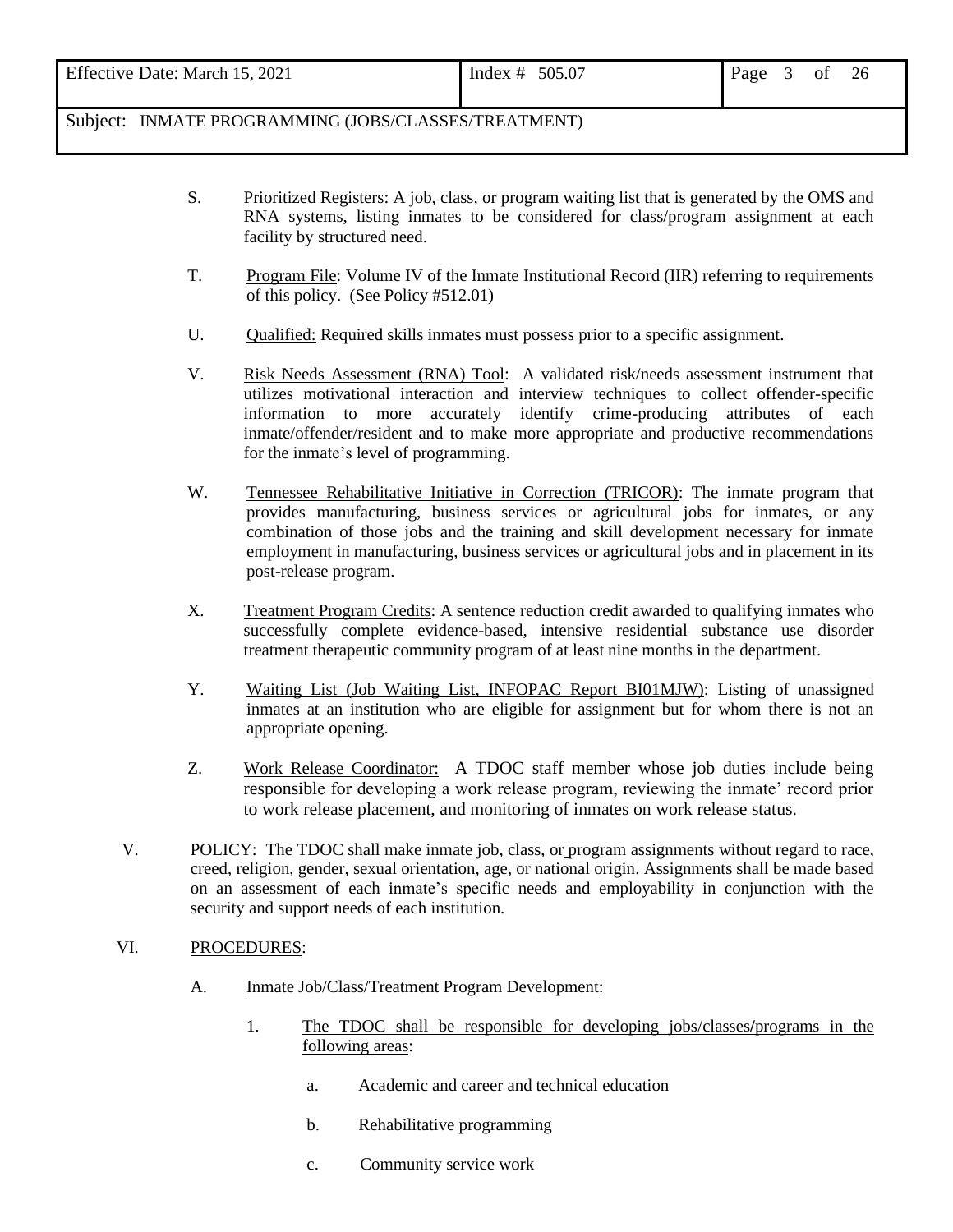| Effective Date: March 15, 2021 | Index # $505.07$ | Page | - of | 26 |  |
|--------------------------------|------------------|------|------|----|--|
|                                |                  |      |      |    |  |

- S. Prioritized Registers: A job, class, or program waiting list that is generated by the OMS and RNA systems, listing inmates to be considered for class/program assignment at each facility by structured need.
- T. Program File: Volume IV of the Inmate Institutional Record (IIR) referring to requirements of this policy. (See Policy #512.01)
- U. Qualified: Required skills inmates must possess prior to a specific assignment.
- V. Risk Needs Assessment (RNA) Tool: A validated risk/needs assessment instrument that utilizes motivational interaction and interview techniques to collect offender-specific information to more accurately identify crime-producing attributes of each inmate/offender/resident and to make more appropriate and productive recommendations for the inmate's level of programming.
- W. Tennessee Rehabilitative Initiative in Correction (TRICOR): The inmate program that provides manufacturing, business services or agricultural jobs for inmates, or any combination of those jobs and the training and skill development necessary for inmate employment in manufacturing, business services or agricultural jobs and in placement in its post-release program.
- X. Treatment Program Credits: A sentence reduction credit awarded to qualifying inmates who successfully complete evidence-based, intensive residential substance use disorder treatment therapeutic community program of at least nine months in the department.
- Y. Waiting List (Job Waiting List, INFOPAC Report BI01MJW): Listing of unassigned inmates at an institution who are eligible for assignment but for whom there is not an appropriate opening.
- Z. Work Release Coordinator: A TDOC staff member whose job duties include being responsible for developing a work release program, reviewing the inmate' record prior to work release placement, and monitoring of inmates on work release status.
- V. POLICY: The TDOC shall make inmate job, class, or program assignments without regard to race, creed, religion, gender, sexual orientation, age, or national origin. Assignments shall be made based on an assessment of each inmate's specific needs and employability in conjunction with the security and support needs of each institution.
- VI. PROCEDURES:
	- A. Inmate Job/Class/Treatment Program Development:
		- 1. The TDOC shall be responsible for developing jobs/classes**/**programs in the following areas:
			- a. Academic and career and technical education
			- b. Rehabilitative programming
			- c. Community service work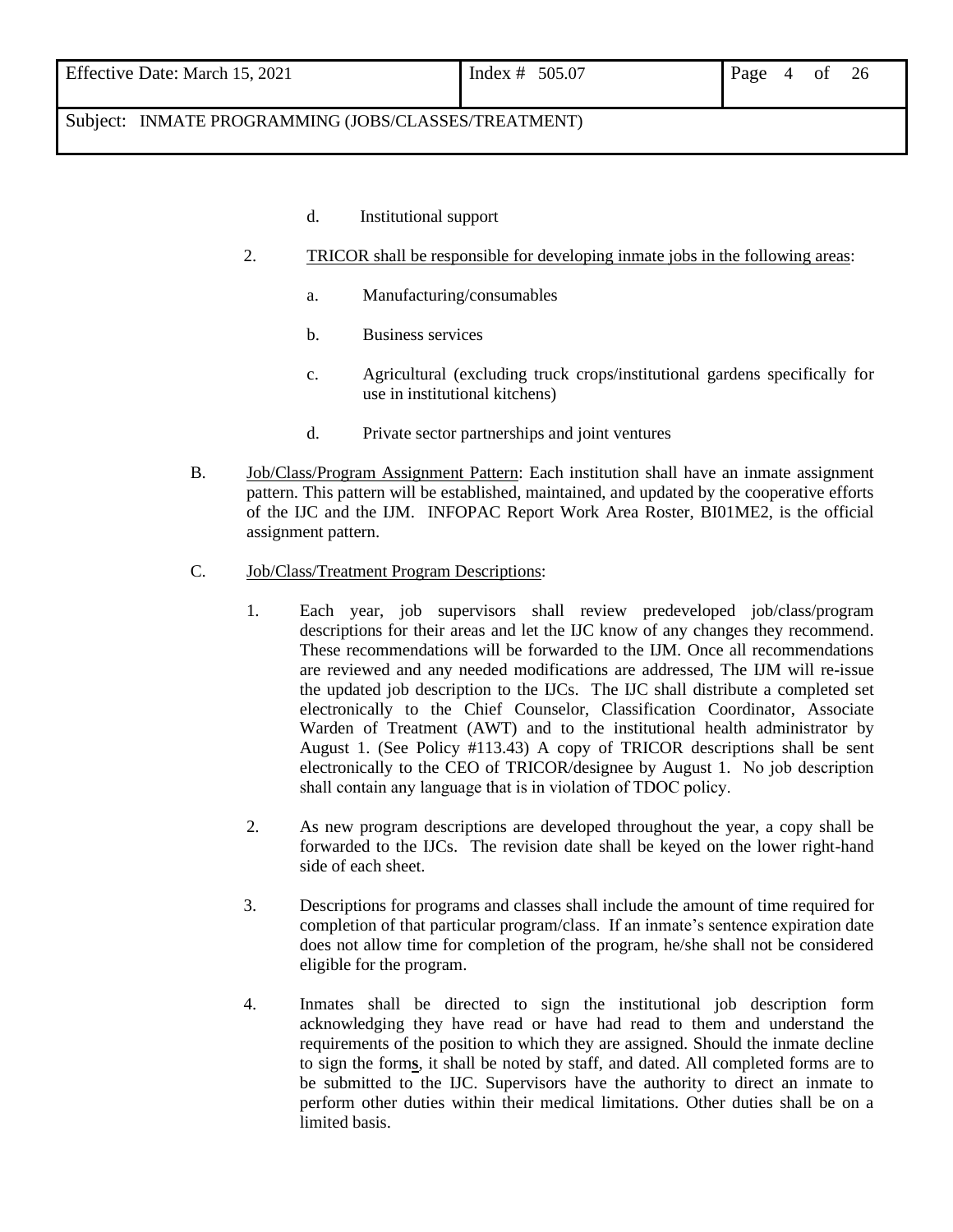| Effective Date: March 15, 2021 | Index # $505.07$ | Page | 0Ì | 26 |  |
|--------------------------------|------------------|------|----|----|--|
|                                |                  |      |    |    |  |

- d. Institutional support
- 2. TRICOR shall be responsible for developing inmate jobs in the following areas:
	- a. Manufacturing/consumables
	- b. Business services
	- c. Agricultural (excluding truck crops/institutional gardens specifically for use in institutional kitchens)
	- d. Private sector partnerships and joint ventures
- B. Job/Class/Program Assignment Pattern: Each institution shall have an inmate assignment pattern. This pattern will be established, maintained, and updated by the cooperative efforts of the IJC and the IJM. INFOPAC Report Work Area Roster, BI01ME2, is the official assignment pattern.
- C. Job/Class/Treatment Program Descriptions:
	- 1. Each year, job supervisors shall review predeveloped job/class/program descriptions for their areas and let the IJC know of any changes they recommend. These recommendations will be forwarded to the IJM. Once all recommendations are reviewed and any needed modifications are addressed, The IJM will re-issue the updated job description to the IJCs. The IJC shall distribute a completed set electronically to the Chief Counselor, Classification Coordinator, Associate Warden of Treatment (AWT) and to the institutional health administrator by August 1. (See Policy #113.43) A copy of TRICOR descriptions shall be sent electronically to the CEO of TRICOR/designee by August 1. No job description shall contain any language that is in violation of TDOC policy.
	- 2. As new program descriptions are developed throughout the year, a copy shall be forwarded to the IJCs. The revision date shall be keyed on the lower right-hand side of each sheet.
	- 3. Descriptions for programs and classes shall include the amount of time required for completion of that particular program/class. If an inmate's sentence expiration date does not allow time for completion of the program, he/she shall not be considered eligible for the program.
	- 4. Inmates shall be directed to sign the institutional job description form acknowledging they have read or have had read to them and understand the requirements of the position to which they are assigned. Should the inmate decline to sign the form**s**, it shall be noted by staff, and dated. All completed forms are to be submitted to the IJC. Supervisors have the authority to direct an inmate to perform other duties within their medical limitations. Other duties shall be on a limited basis.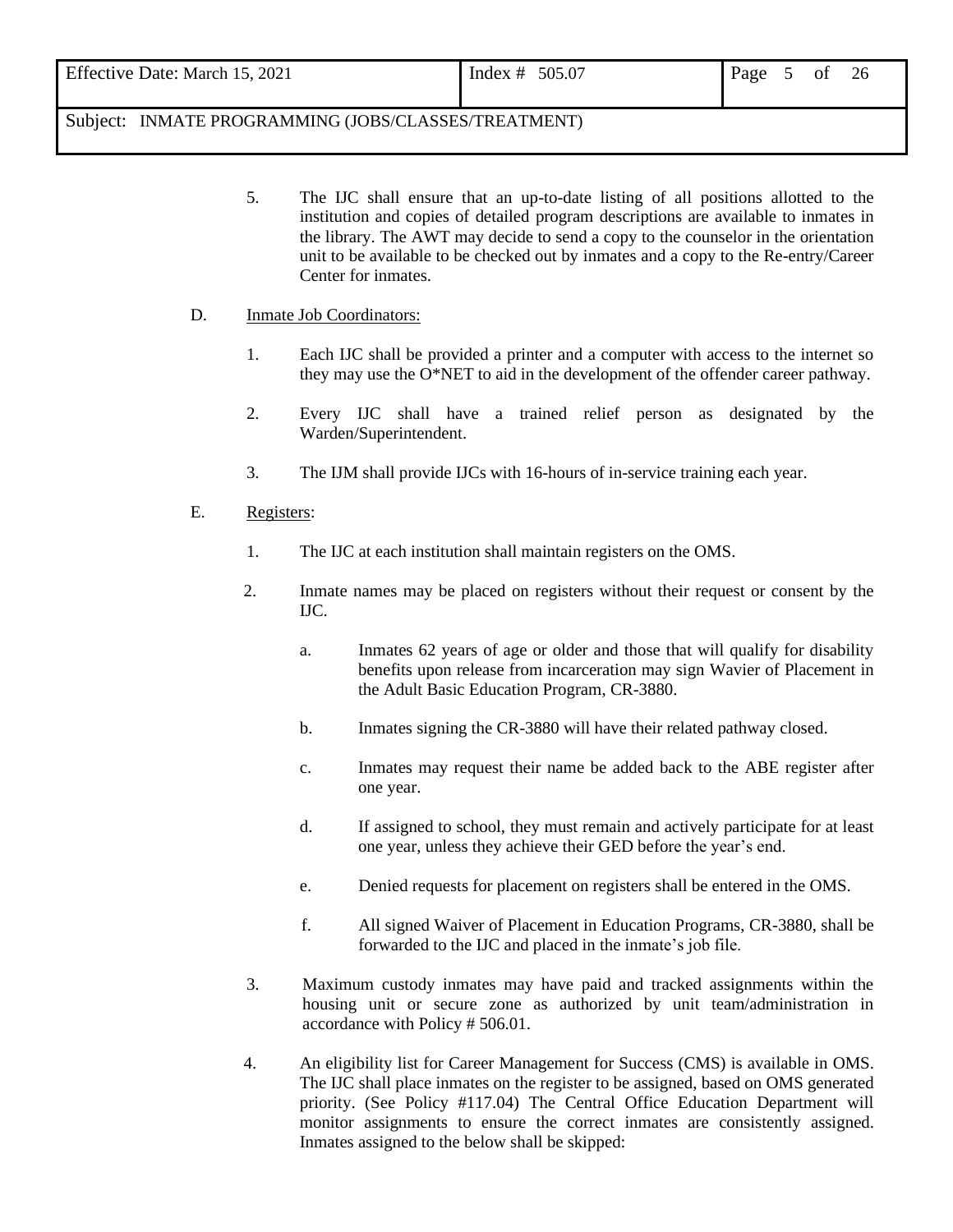5. The IJC shall ensure that an up-to-date listing of all positions allotted to the institution and copies of detailed program descriptions are available to inmates in the library. The AWT may decide to send a copy to the counselor in the orientation unit to be available to be checked out by inmates and a copy to the Re-entry/Career Center for inmates.

### D. Inmate Job Coordinators:

- 1. Each IJC shall be provided a printer and a computer with access to the internet so they may use the O\*NET to aid in the development of the offender career pathway.
- 2. Every IJC shall have a trained relief person as designated by the Warden/Superintendent.
- 3. The IJM shall provide IJCs with 16-hours of in-service training each year.
- E. Registers:
	- 1. The IJC at each institution shall maintain registers on the OMS.
	- 2. Inmate names may be placed on registers without their request or consent by the IJC.
		- a. Inmates 62 years of age or older and those that will qualify for disability benefits upon release from incarceration may sign Wavier of Placement in the Adult Basic Education Program, CR-3880.
		- b. Inmates signing the CR-3880 will have their related pathway closed.
		- c. Inmates may request their name be added back to the ABE register after one year.
		- d. If assigned to school, they must remain and actively participate for at least one year, unless they achieve their GED before the year's end.
		- e. Denied requests for placement on registers shall be entered in the OMS.
		- f. All signed Waiver of Placement in Education Programs, CR-3880, shall be forwarded to the IJC and placed in the inmate's job file.
	- 3. Maximum custody inmates may have paid and tracked assignments within the housing unit or secure zone as authorized by unit team/administration in accordance with Policy # 506.01.
	- 4. An eligibility list for Career Management for Success (CMS) is available in OMS. The IJC shall place inmates on the register to be assigned, based on OMS generated priority. (See Policy #117.04) The Central Office Education Department will monitor assignments to ensure the correct inmates are consistently assigned. Inmates assigned to the below shall be skipped: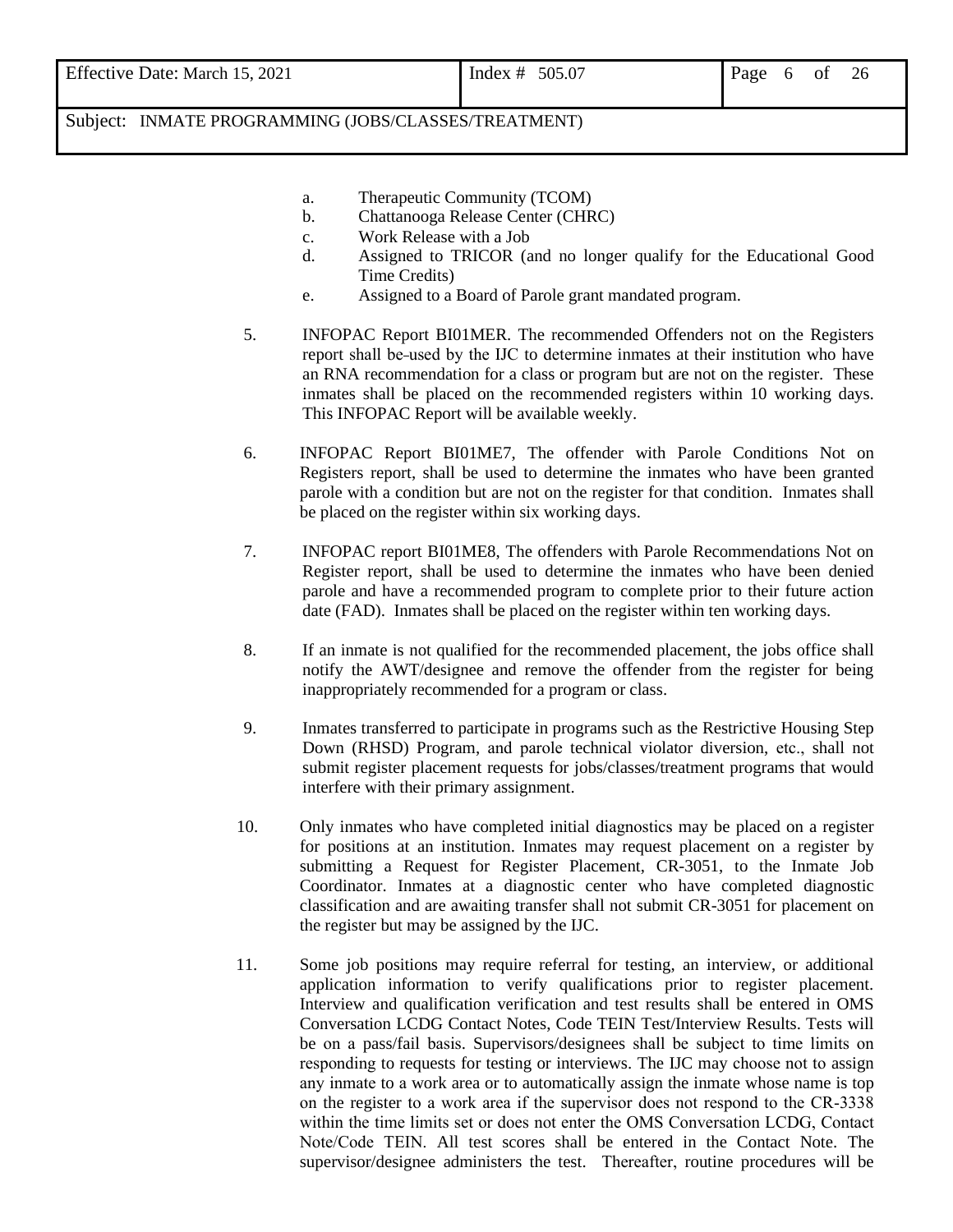| Effective Date: March 15, 2021 |  |  |  |  |
|--------------------------------|--|--|--|--|
|--------------------------------|--|--|--|--|

- a. Therapeutic Community (TCOM)
- b. Chattanooga Release Center (CHRC)
- c. Work Release with a Job
- d. Assigned to TRICOR (and no longer qualify for the Educational Good Time Credits)
- e. Assigned to a Board of Parole grant mandated program.
- 5. INFOPAC Report BI01MER. The recommended Offenders not on the Registers report shall be used by the IJC to determine inmates at their institution who have an RNA recommendation for a class or program but are not on the register. These inmates shall be placed on the recommended registers within 10 working days. This INFOPAC Report will be available weekly.
- 6. INFOPAC Report BI01ME7, The offender with Parole Conditions Not on Registers report, shall be used to determine the inmates who have been granted parole with a condition but are not on the register for that condition. Inmates shall be placed on the register within six working days.
- 7. INFOPAC report BI01ME8, The offenders with Parole Recommendations Not on Register report, shall be used to determine the inmates who have been denied parole and have a recommended program to complete prior to their future action date (FAD). Inmates shall be placed on the register within ten working days.
- 8. If an inmate is not qualified for the recommended placement, the jobs office shall notify the AWT/designee and remove the offender from the register for being inappropriately recommended for a program or class.
- 9. Inmates transferred to participate in programs such as the Restrictive Housing Step Down (RHSD) Program, and parole technical violator diversion, etc., shall not submit register placement requests for jobs/classes/treatment programs that would interfere with their primary assignment.
- 10. Only inmates who have completed initial diagnostics may be placed on a register for positions at an institution. Inmates may request placement on a register by submitting a Request for Register Placement, CR-3051, to the Inmate Job Coordinator. Inmates at a diagnostic center who have completed diagnostic classification and are awaiting transfer shall not submit CR-3051 for placement on the register but may be assigned by the IJC.
- 11. Some job positions may require referral for testing, an interview, or additional application information to verify qualifications prior to register placement. Interview and qualification verification and test results shall be entered in OMS Conversation LCDG Contact Notes, Code TEIN Test/Interview Results. Tests will be on a pass/fail basis. Supervisors/designees shall be subject to time limits on responding to requests for testing or interviews. The IJC may choose not to assign any inmate to a work area or to automatically assign the inmate whose name is top on the register to a work area if the supervisor does not respond to the CR-3338 within the time limits set or does not enter the OMS Conversation LCDG, Contact Note/Code TEIN. All test scores shall be entered in the Contact Note. The supervisor/designee administers the test. Thereafter, routine procedures will be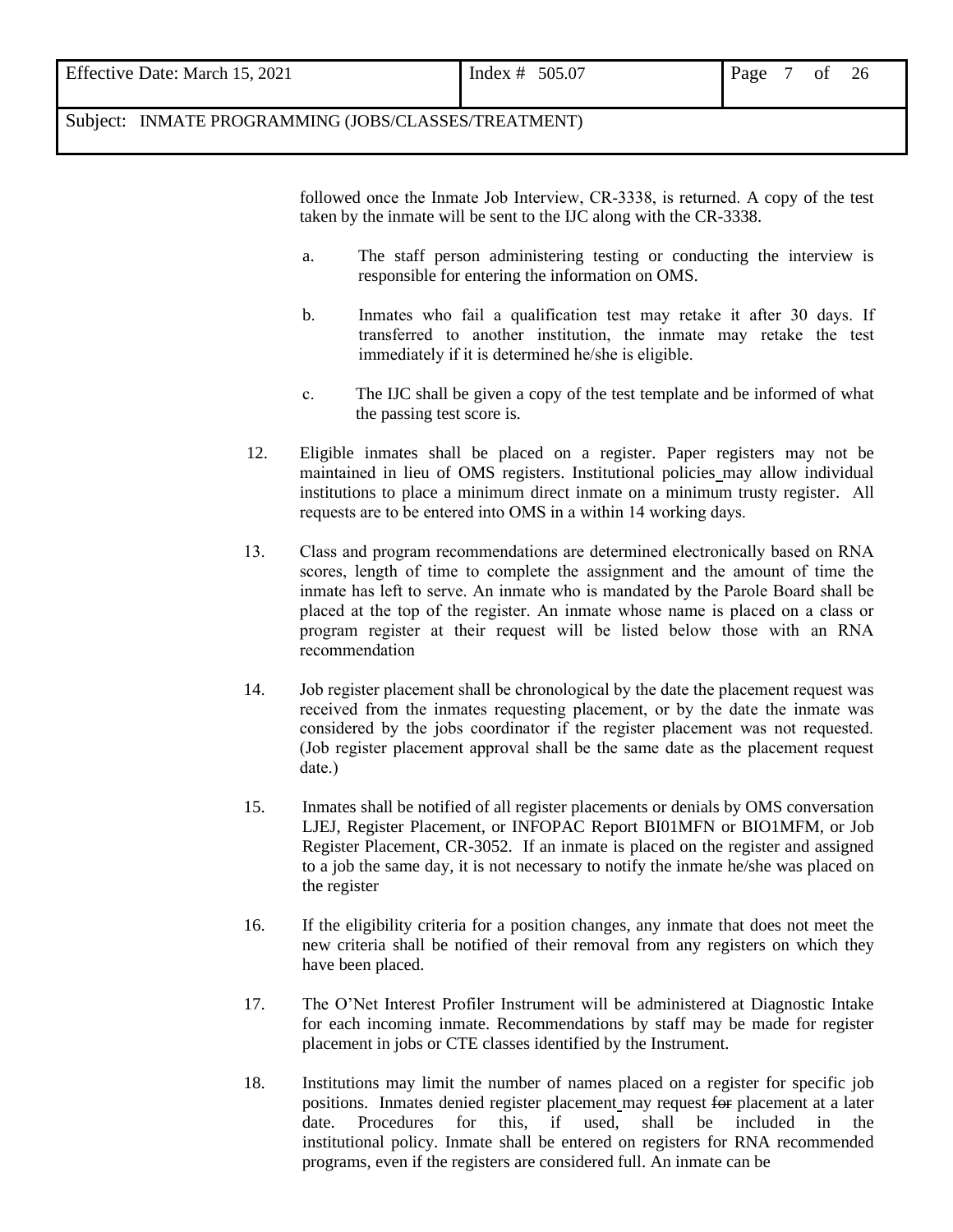| Effective Date: March 15, 2021 | Index # $505.07$ | Page | ΟÌ | 26 |
|--------------------------------|------------------|------|----|----|
|                                |                  |      |    |    |

followed once the Inmate Job Interview, CR-3338, is returned. A copy of the test taken by the inmate will be sent to the IJC along with the CR-3338.

- a. The staff person administering testing or conducting the interview is responsible for entering the information on OMS.
- b. Inmates who fail a qualification test may retake it after 30 days. If transferred to another institution, the inmate may retake the test immediately if it is determined he/she is eligible.
- c. The IJC shall be given a copy of the test template and be informed of what the passing test score is.
- 12. Eligible inmates shall be placed on a register. Paper registers may not be maintained in lieu of OMS registers. Institutional policies may allow individual institutions to place a minimum direct inmate on a minimum trusty register. All requests are to be entered into OMS in a within 14 working days.
- 13. Class and program recommendations are determined electronically based on RNA scores, length of time to complete the assignment and the amount of time the inmate has left to serve. An inmate who is mandated by the Parole Board shall be placed at the top of the register. An inmate whose name is placed on a class or program register at their request will be listed below those with an RNA recommendation
- 14. Job register placement shall be chronological by the date the placement request was received from the inmates requesting placement, or by the date the inmate was considered by the jobs coordinator if the register placement was not requested. (Job register placement approval shall be the same date as the placement request date.)
- 15. Inmates shall be notified of all register placements or denials by OMS conversation LJEJ, Register Placement, or INFOPAC Report BI01MFN or BIO1MFM, or Job Register Placement, CR-3052. If an inmate is placed on the register and assigned to a job the same day, it is not necessary to notify the inmate he/she was placed on the register
- 16. If the eligibility criteria for a position changes, any inmate that does not meet the new criteria shall be notified of their removal from any registers on which they have been placed.
- 17. The O'Net Interest Profiler Instrument will be administered at Diagnostic Intake for each incoming inmate. Recommendations by staff may be made for register placement in jobs or CTE classes identified by the Instrument.
- 18. Institutions may limit the number of names placed on a register for specific job positions. Inmates denied register placement may request for placement at a later date. Procedures for this, if used, shall be included in the institutional policy. Inmate shall be entered on registers for RNA recommended programs, even if the registers are considered full. An inmate can be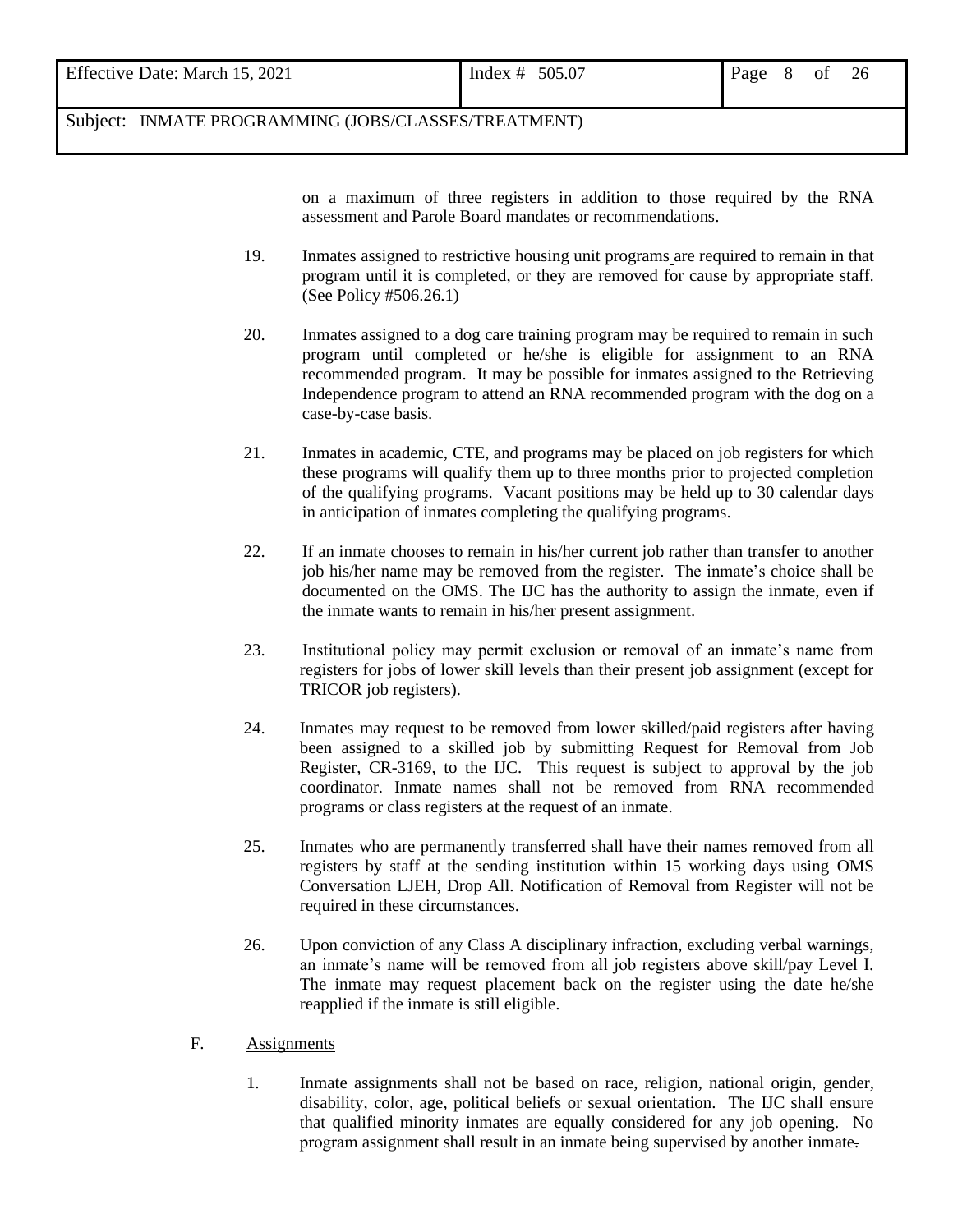| Effective Date: March 15, 2021 | Index # 505.07 | Page 8 of 26 |  |  |
|--------------------------------|----------------|--------------|--|--|
|                                |                |              |  |  |

on a maximum of three registers in addition to those required by the RNA assessment and Parole Board mandates or recommendations.

- 19. Inmates assigned to restrictive housing unit programs are required to remain in that program until it is completed, or they are removed for cause by appropriate staff. (See Policy #506.26.1)
- 20. Inmates assigned to a dog care training program may be required to remain in such program until completed or he/she is eligible for assignment to an RNA recommended program. It may be possible for inmates assigned to the Retrieving Independence program to attend an RNA recommended program with the dog on a case-by-case basis.
- 21. Inmates in academic, CTE, and programs may be placed on job registers for which these programs will qualify them up to three months prior to projected completion of the qualifying programs. Vacant positions may be held up to 30 calendar days in anticipation of inmates completing the qualifying programs.
- 22. If an inmate chooses to remain in his/her current job rather than transfer to another job his/her name may be removed from the register. The inmate's choice shall be documented on the OMS. The IJC has the authority to assign the inmate, even if the inmate wants to remain in his/her present assignment.
- 23. Institutional policy may permit exclusion or removal of an inmate's name from registers for jobs of lower skill levels than their present job assignment (except for TRICOR job registers).
- 24. Inmates may request to be removed from lower skilled/paid registers after having been assigned to a skilled job by submitting Request for Removal from Job Register, CR-3169, to the IJC. This request is subject to approval by the job coordinator. Inmate names shall not be removed from RNA recommended programs or class registers at the request of an inmate.
- 25. Inmates who are permanently transferred shall have their names removed from all registers by staff at the sending institution within 15 working days using OMS Conversation LJEH, Drop All. Notification of Removal from Register will not be required in these circumstances.
- 26. Upon conviction of any Class A disciplinary infraction, excluding verbal warnings, an inmate's name will be removed from all job registers above skill/pay Level I. The inmate may request placement back on the register using the date he/she reapplied if the inmate is still eligible.
- F. Assignments
	- 1. Inmate assignments shall not be based on race, religion, national origin, gender, disability, color, age, political beliefs or sexual orientation. The IJC shall ensure that qualified minority inmates are equally considered for any job opening. No program assignment shall result in an inmate being supervised by another inmate.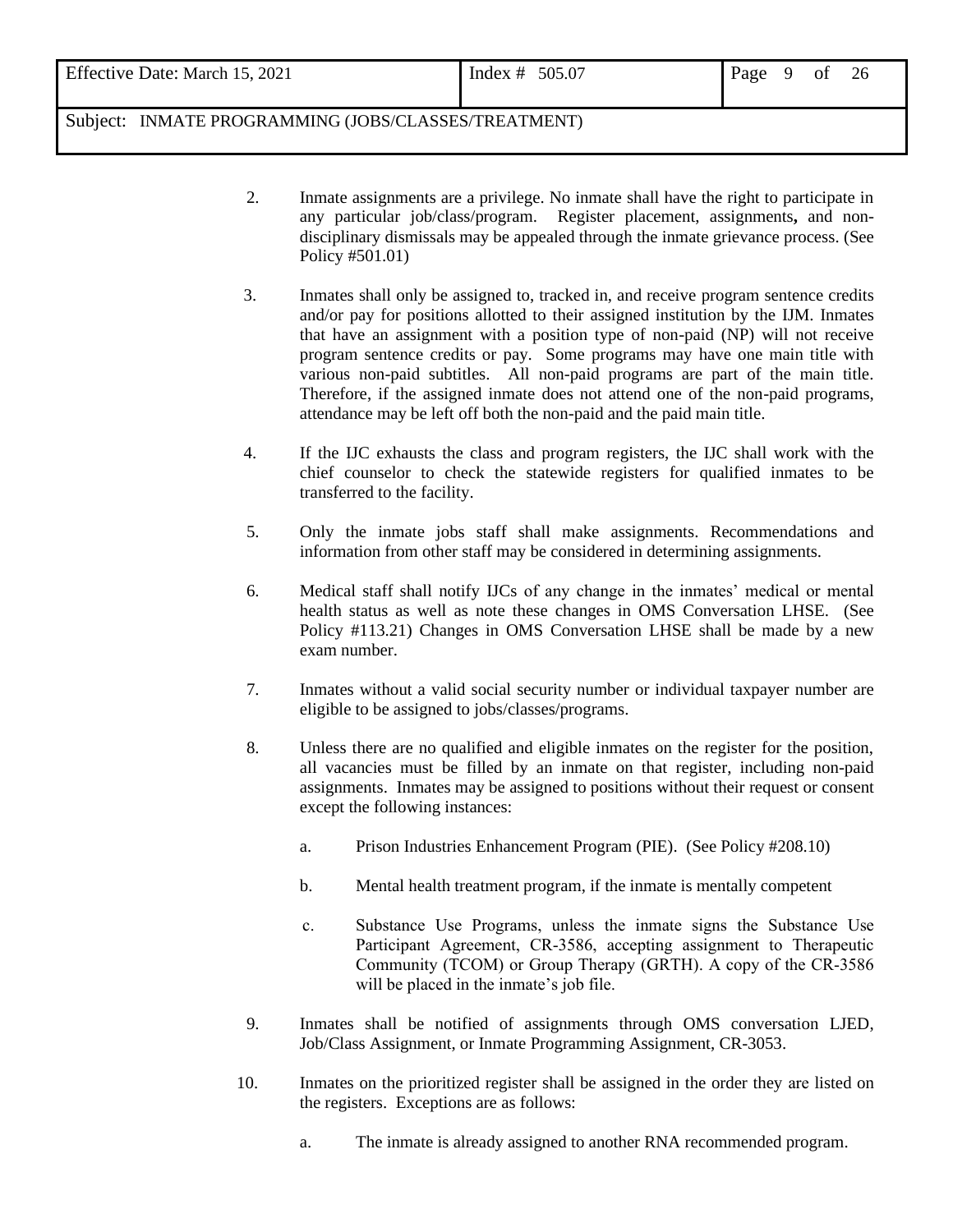| Effective Date: March 15, 2021 | 505.07<br>Index $#$ | Page | 0 | 0 <sub>1</sub> | 26 |  |
|--------------------------------|---------------------|------|---|----------------|----|--|
|                                |                     |      |   |                |    |  |

- 2. Inmate assignments are a privilege. No inmate shall have the right to participate in any particular job/class/program. Register placement, assignments**,** and nondisciplinary dismissals may be appealed through the inmate grievance process. (See Policy #501.01)
- 3. Inmates shall only be assigned to, tracked in, and receive program sentence credits and/or pay for positions allotted to their assigned institution by the IJM. Inmates that have an assignment with a position type of non-paid (NP) will not receive program sentence credits or pay. Some programs may have one main title with various non-paid subtitles. All non-paid programs are part of the main title. Therefore, if the assigned inmate does not attend one of the non-paid programs, attendance may be left off both the non-paid and the paid main title.
- 4. If the IJC exhausts the class and program registers, the IJC shall work with the chief counselor to check the statewide registers for qualified inmates to be transferred to the facility.
- 5. Only the inmate jobs staff shall make assignments. Recommendations and information from other staff may be considered in determining assignments.
- 6. Medical staff shall notify IJCs of any change in the inmates' medical or mental health status as well as note these changes in OMS Conversation LHSE. (See Policy #113.21) Changes in OMS Conversation LHSE shall be made by a new exam number.
- 7. Inmates without a valid social security number or individual taxpayer number are eligible to be assigned to jobs/classes/programs.
- 8. Unless there are no qualified and eligible inmates on the register for the position, all vacancies must be filled by an inmate on that register, including non-paid assignments. Inmates may be assigned to positions without their request or consent except the following instances:
	- a. Prison Industries Enhancement Program (PIE). (See Policy #208.10)
	- b. Mental health treatment program, if the inmate is mentally competent
	- c. Substance Use Programs, unless the inmate signs the Substance Use Participant Agreement, CR-3586, accepting assignment to Therapeutic Community (TCOM) or Group Therapy (GRTH). A copy of the CR-3586 will be placed in the inmate's job file.
- 9. Inmates shall be notified of assignments through OMS conversation LJED, Job/Class Assignment, or Inmate Programming Assignment, CR-3053.
- 10. Inmates on the prioritized register shall be assigned in the order they are listed on the registers. Exceptions are as follows:
	- a. The inmate is already assigned to another RNA recommended program.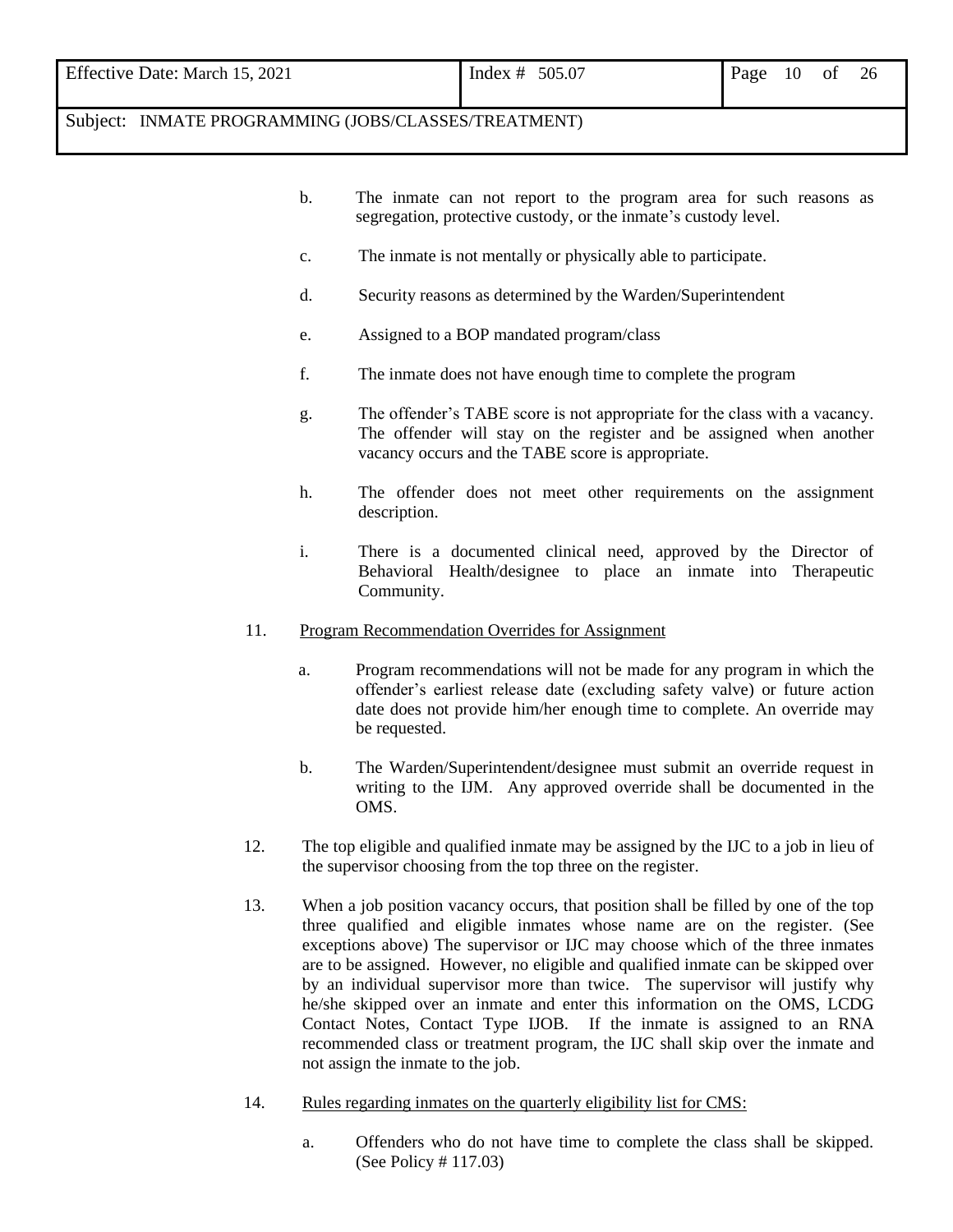- b. The inmate can not report to the program area for such reasons as segregation, protective custody, or the inmate's custody level.
- c. The inmate is not mentally or physically able to participate.
- d. Security reasons as determined by the Warden/Superintendent
- e. Assigned to a BOP mandated program/class
- f. The inmate does not have enough time to complete the program
- g. The offender's TABE score is not appropriate for the class with a vacancy. The offender will stay on the register and be assigned when another vacancy occurs and the TABE score is appropriate.
- h. The offender does not meet other requirements on the assignment description.
- i. There is a documented clinical need, approved by the Director of Behavioral Health/designee to place an inmate into Therapeutic Community.
- 11. Program Recommendation Overrides for Assignment
	- a. Program recommendations will not be made for any program in which the offender's earliest release date (excluding safety valve) or future action date does not provide him/her enough time to complete. An override may be requested.
	- b. The Warden/Superintendent/designee must submit an override request in writing to the IJM. Any approved override shall be documented in the OMS.
- 12. The top eligible and qualified inmate may be assigned by the IJC to a job in lieu of the supervisor choosing from the top three on the register.
- 13. When a job position vacancy occurs, that position shall be filled by one of the top three qualified and eligible inmates whose name are on the register. (See exceptions above) The supervisor or IJC may choose which of the three inmates are to be assigned. However, no eligible and qualified inmate can be skipped over by an individual supervisor more than twice. The supervisor will justify why he/she skipped over an inmate and enter this information on the OMS, LCDG Contact Notes, Contact Type IJOB. If the inmate is assigned to an RNA recommended class or treatment program, the IJC shall skip over the inmate and not assign the inmate to the job.
- 14. Rules regarding inmates on the quarterly eligibility list for CMS:
	- a. Offenders who do not have time to complete the class shall be skipped. (See Policy # 117.03)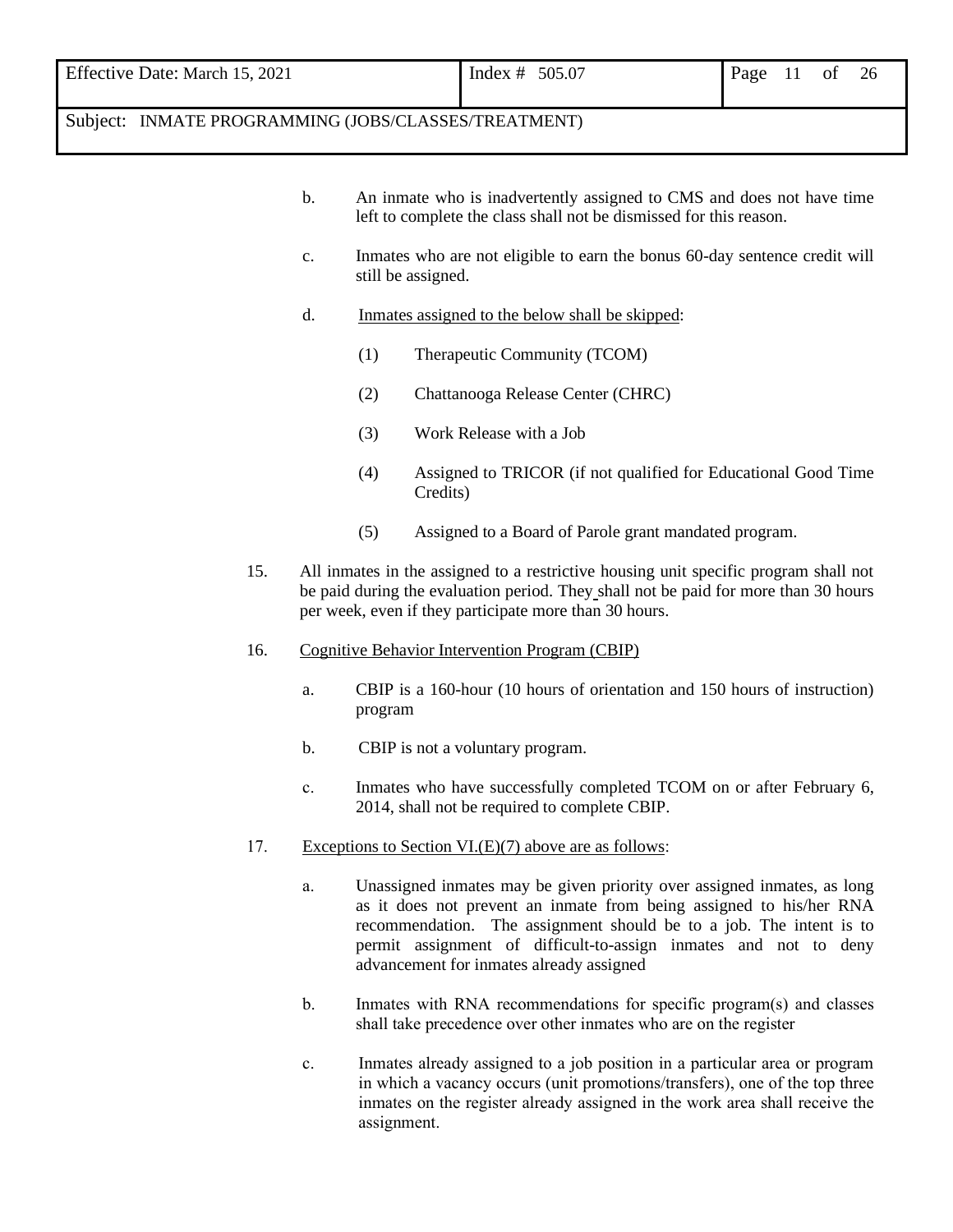- b. An inmate who is inadvertently assigned to CMS and does not have time left to complete the class shall not be dismissed for this reason.
- c. Inmates who are not eligible to earn the bonus 60-day sentence credit will still be assigned.
- d. Inmates assigned to the below shall be skipped:
	- (1) Therapeutic Community (TCOM)
	- (2) Chattanooga Release Center (CHRC)
	- (3) Work Release with a Job
	- (4) Assigned to TRICOR (if not qualified for Educational Good Time Credits)
	- (5) Assigned to a Board of Parole grant mandated program.
- 15. All inmates in the assigned to a restrictive housing unit specific program shall not be paid during the evaluation period. They shall not be paid for more than 30 hours per week, even if they participate more than 30 hours.
- 16. Cognitive Behavior Intervention Program (CBIP)
	- a. CBIP is a 160-hour (10 hours of orientation and 150 hours of instruction) program
	- b. CBIP is not a voluntary program.
	- c. Inmates who have successfully completed TCOM on or after February 6, 2014, shall not be required to complete CBIP.
- 17. Exceptions to Section VI.(E)(7) above are as follows:
	- a. Unassigned inmates may be given priority over assigned inmates, as long as it does not prevent an inmate from being assigned to his/her RNA recommendation. The assignment should be to a job. The intent is to permit assignment of difficult-to-assign inmates and not to deny advancement for inmates already assigned
	- b. Inmates with RNA recommendations for specific program(s) and classes shall take precedence over other inmates who are on the register
	- c. Inmates already assigned to a job position in a particular area or program in which a vacancy occurs (unit promotions/transfers), one of the top three inmates on the register already assigned in the work area shall receive the assignment.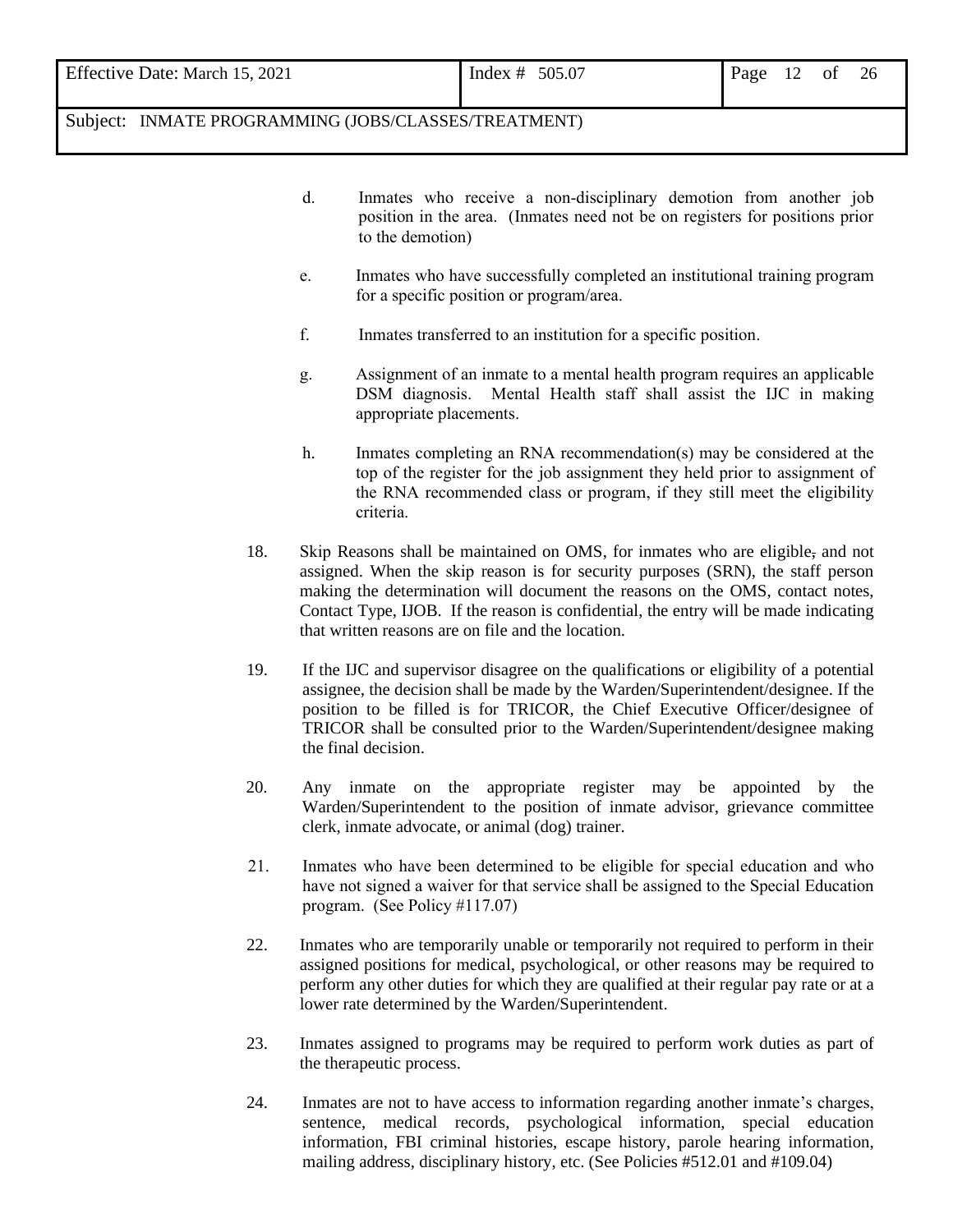- d. Inmates who receive a non-disciplinary demotion from another job position in the area. (Inmates need not be on registers for positions prior to the demotion)
- e. Inmates who have successfully completed an institutional training program for a specific position or program/area.
- f. Inmates transferred to an institution for a specific position.
- g. Assignment of an inmate to a mental health program requires an applicable DSM diagnosis. Mental Health staff shall assist the IJC in making appropriate placements.
- h. Inmates completing an RNA recommendation(s) may be considered at the top of the register for the job assignment they held prior to assignment of the RNA recommended class or program, if they still meet the eligibility criteria.
- 18. Skip Reasons shall be maintained on OMS, for inmates who are eligible, and not assigned. When the skip reason is for security purposes (SRN), the staff person making the determination will document the reasons on the OMS, contact notes, Contact Type, IJOB. If the reason is confidential, the entry will be made indicating that written reasons are on file and the location.
- 19. If the IJC and supervisor disagree on the qualifications or eligibility of a potential assignee, the decision shall be made by the Warden/Superintendent/designee. If the position to be filled is for TRICOR, the Chief Executive Officer/designee of TRICOR shall be consulted prior to the Warden/Superintendent/designee making the final decision.
- 20. Any inmate on the appropriate register may be appointed by the Warden/Superintendent to the position of inmate advisor, grievance committee clerk, inmate advocate, or animal (dog) trainer.
- 21. Inmates who have been determined to be eligible for special education and who have not signed a waiver for that service shall be assigned to the Special Education program. (See Policy #117.07)
- 22. Inmates who are temporarily unable or temporarily not required to perform in their assigned positions for medical, psychological, or other reasons may be required to perform any other duties for which they are qualified at their regular pay rate or at a lower rate determined by the Warden/Superintendent.
- 23. Inmates assigned to programs may be required to perform work duties as part of the therapeutic process.
- 24. Inmates are not to have access to information regarding another inmate's charges, sentence, medical records, psychological information, special education information, FBI criminal histories, escape history, parole hearing information, mailing address, disciplinary history, etc. (See Policies #512.01 and #109.04)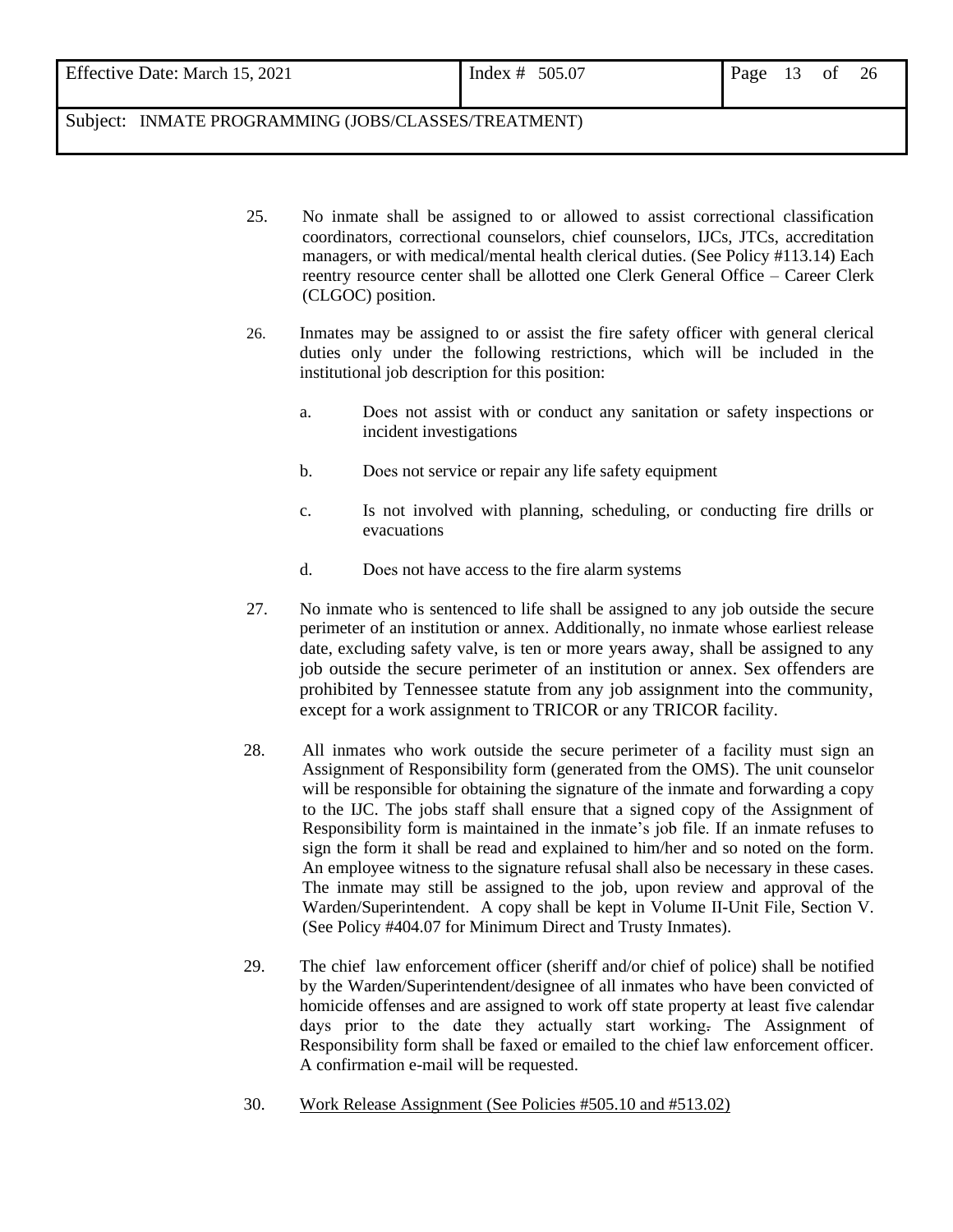| Effective Date: March 15, 2021 | Index $#$<br>505.07 | Page | O1 | 26 |
|--------------------------------|---------------------|------|----|----|
|                                |                     |      |    |    |

- 25. No inmate shall be assigned to or allowed to assist correctional classification coordinators, correctional counselors, chief counselors, IJCs, JTCs, accreditation managers, or with medical/mental health clerical duties. (See Policy #113.14) Each reentry resource center shall be allotted one Clerk General Office – Career Clerk (CLGOC) position.
- 26. Inmates may be assigned to or assist the fire safety officer with general clerical duties only under the following restrictions, which will be included in the institutional job description for this position:
	- a. Does not assist with or conduct any sanitation or safety inspections or incident investigations
	- b. Does not service or repair any life safety equipment
	- c. Is not involved with planning, scheduling, or conducting fire drills or evacuations
	- d. Does not have access to the fire alarm systems
- 27. No inmate who is sentenced to life shall be assigned to any job outside the secure perimeter of an institution or annex. Additionally, no inmate whose earliest release date, excluding safety valve, is ten or more years away, shall be assigned to any job outside the secure perimeter of an institution or annex. Sex offenders are prohibited by Tennessee statute from any job assignment into the community, except for a work assignment to TRICOR or any TRICOR facility.
- 28. All inmates who work outside the secure perimeter of a facility must sign an Assignment of Responsibility form (generated from the OMS). The unit counselor will be responsible for obtaining the signature of the inmate and forwarding a copy to the IJC. The jobs staff shall ensure that a signed copy of the Assignment of Responsibility form is maintained in the inmate's job file. If an inmate refuses to sign the form it shall be read and explained to him/her and so noted on the form. An employee witness to the signature refusal shall also be necessary in these cases. The inmate may still be assigned to the job, upon review and approval of the Warden/Superintendent. A copy shall be kept in Volume II-Unit File, Section V. (See Policy #404.07 for Minimum Direct and Trusty Inmates).
- 29. The chief law enforcement officer (sheriff and/or chief of police) shall be notified by the Warden/Superintendent/designee of all inmates who have been convicted of homicide offenses and are assigned to work off state property at least five calendar days prior to the date they actually start working. The Assignment of Responsibility form shall be faxed or emailed to the chief law enforcement officer. A confirmation e-mail will be requested.
- 30. Work Release Assignment (See Policies #505.10 and #513.02)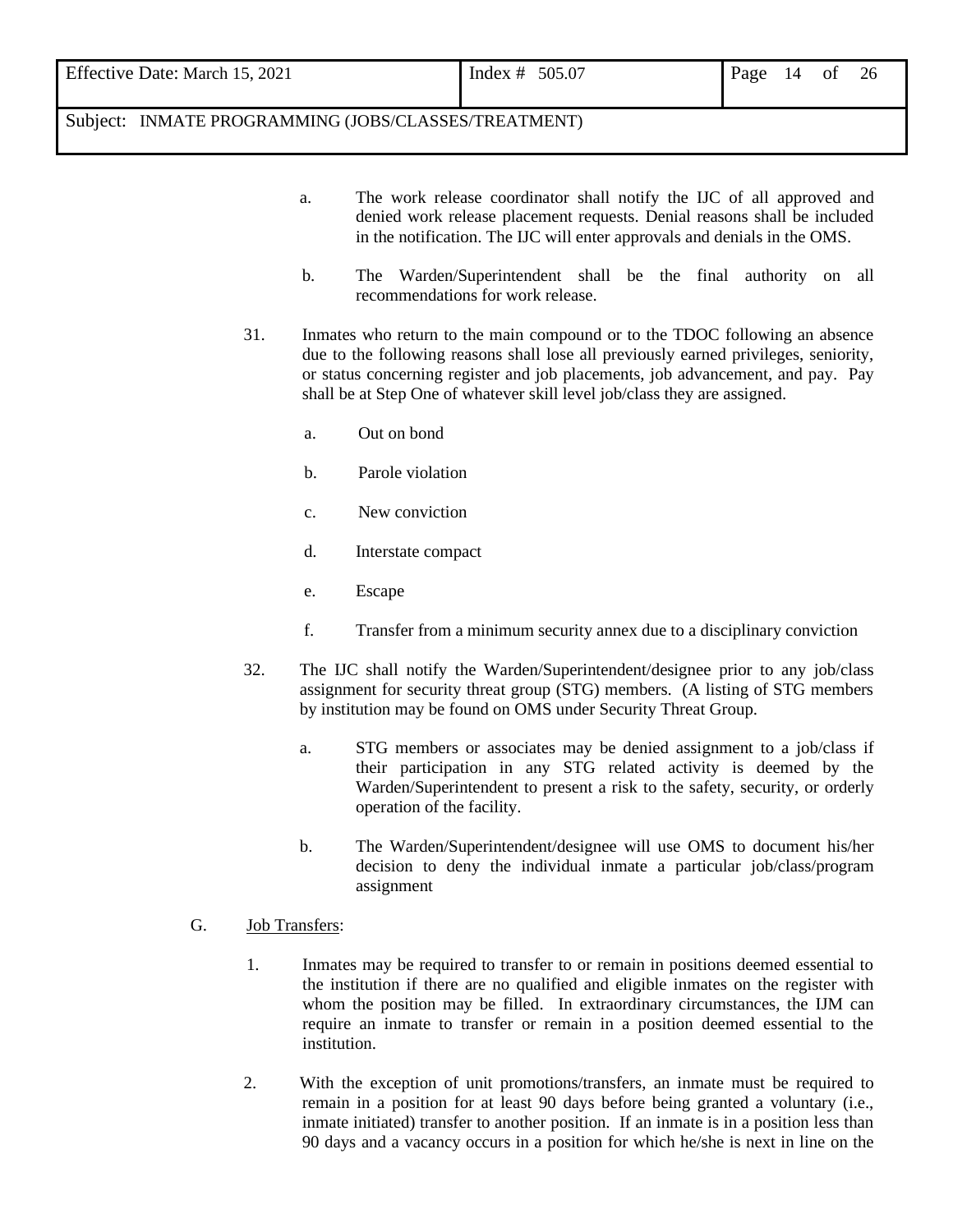| Effective Date: March 15, 2021 | Index $# 505.07$ | Page 14 of 26 |  |  |
|--------------------------------|------------------|---------------|--|--|
|                                |                  |               |  |  |

- a. The work release coordinator shall notify the IJC of all approved and denied work release placement requests. Denial reasons shall be included in the notification. The IJC will enter approvals and denials in the OMS.
- b. The Warden/Superintendent shall be the final authority on all recommendations for work release.
- 31. Inmates who return to the main compound or to the TDOC following an absence due to the following reasons shall lose all previously earned privileges, seniority, or status concerning register and job placements, job advancement, and pay. Pay shall be at Step One of whatever skill level job/class they are assigned.
	- a. Out on bond
	- b. Parole violation
	- c. New conviction
	- d. Interstate compact
	- e. Escape
	- f. Transfer from a minimum security annex due to a disciplinary conviction
- 32. The IJC shall notify the Warden/Superintendent/designee prior to any job/class assignment for security threat group (STG) members. (A listing of STG members by institution may be found on OMS under Security Threat Group.
	- a. STG members or associates may be denied assignment to a job/class if their participation in any STG related activity is deemed by the Warden/Superintendent to present a risk to the safety, security, or orderly operation of the facility.
	- b. The Warden/Superintendent/designee will use OMS to document his/her decision to deny the individual inmate a particular job/class/program assignment

### G. Job Transfers:

- 1. Inmates may be required to transfer to or remain in positions deemed essential to the institution if there are no qualified and eligible inmates on the register with whom the position may be filled. In extraordinary circumstances, the IJM can require an inmate to transfer or remain in a position deemed essential to the institution.
- 2. With the exception of unit promotions/transfers, an inmate must be required to remain in a position for at least 90 days before being granted a voluntary (i.e., inmate initiated) transfer to another position. If an inmate is in a position less than 90 days and a vacancy occurs in a position for which he/she is next in line on the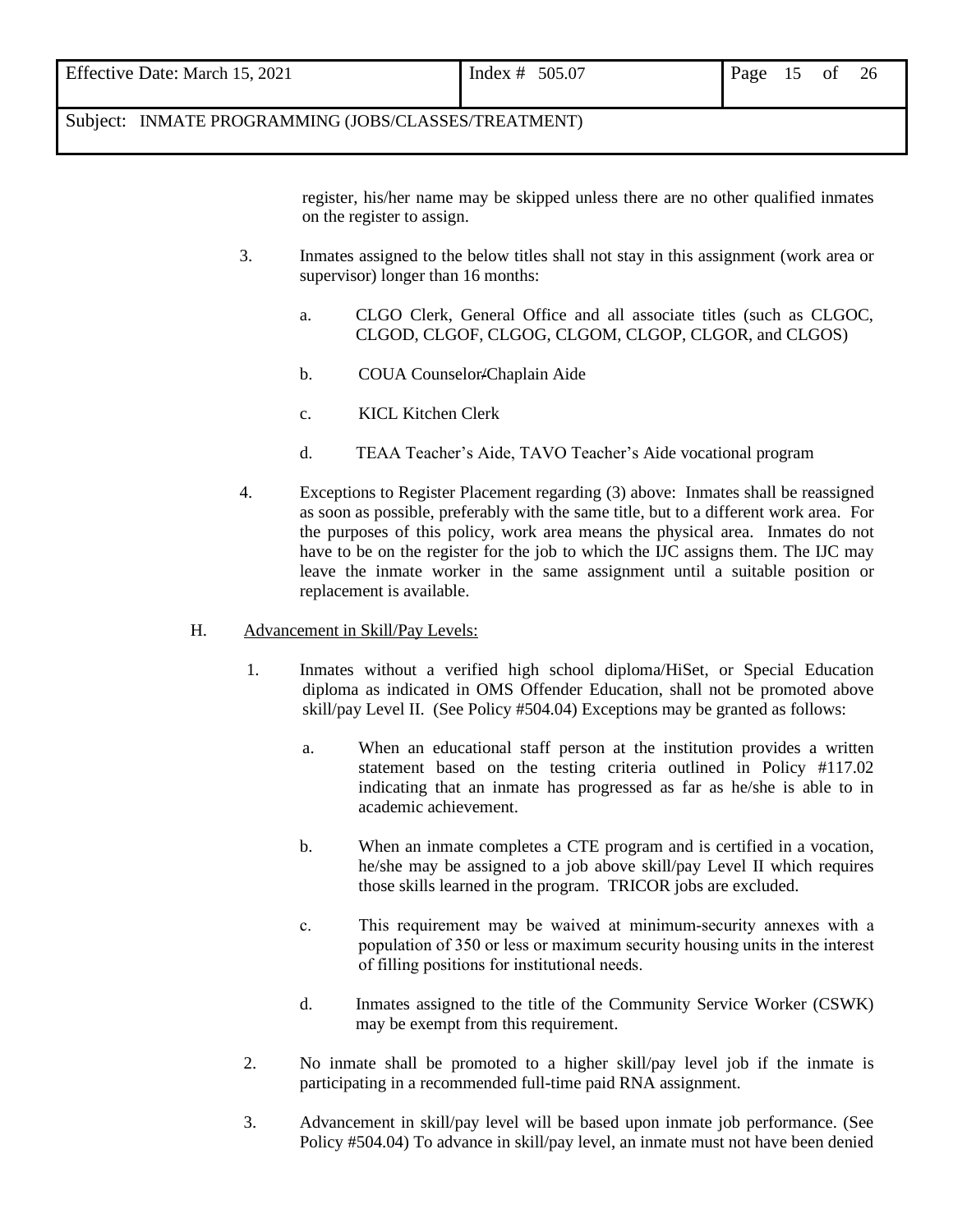| Effective Date: March 15, 2021 | Index # $505.07$ | Page 15 of |  |  |
|--------------------------------|------------------|------------|--|--|
|                                |                  |            |  |  |

register, his/her name may be skipped unless there are no other qualified inmates on the register to assign.

- 3. Inmates assigned to the below titles shall not stay in this assignment (work area or supervisor) longer than 16 months:
	- a. CLGO Clerk, General Office and all associate titles (such as CLGOC, CLGOD, CLGOF, CLGOG, CLGOM, CLGOP, CLGOR, and CLGOS)
	- b. COUA Counselor/Chaplain Aide
	- c. KICL Kitchen Clerk
	- d. TEAA Teacher's Aide, TAVO Teacher's Aide vocational program
- 4. Exceptions to Register Placement regarding (3) above: Inmates shall be reassigned as soon as possible, preferably with the same title, but to a different work area. For the purposes of this policy, work area means the physical area. Inmates do not have to be on the register for the job to which the IJC assigns them. The IJC may leave the inmate worker in the same assignment until a suitable position or replacement is available.

### H. Advancement in Skill/Pay Levels:

- 1. Inmates without a verified high school diploma/HiSet, or Special Education diploma as indicated in OMS Offender Education, shall not be promoted above skill/pay Level II. (See Policy #504.04) Exceptions may be granted as follows:
	- a. When an educational staff person at the institution provides a written statement based on the testing criteria outlined in Policy #117.02 indicating that an inmate has progressed as far as he/she is able to in academic achievement.
	- b. When an inmate completes a CTE program and is certified in a vocation, he/she may be assigned to a job above skill/pay Level II which requires those skills learned in the program. TRICOR jobs are excluded.
	- c. This requirement may be waived at minimum-security annexes with a population of 350 or less or maximum security housing units in the interest of filling positions for institutional needs.
	- d. Inmates assigned to the title of the Community Service Worker (CSWK) may be exempt from this requirement.
- 2. No inmate shall be promoted to a higher skill/pay level job if the inmate is participating in a recommended full-time paid RNA assignment.
- 3. Advancement in skill/pay level will be based upon inmate job performance. (See Policy #504.04) To advance in skill/pay level, an inmate must not have been denied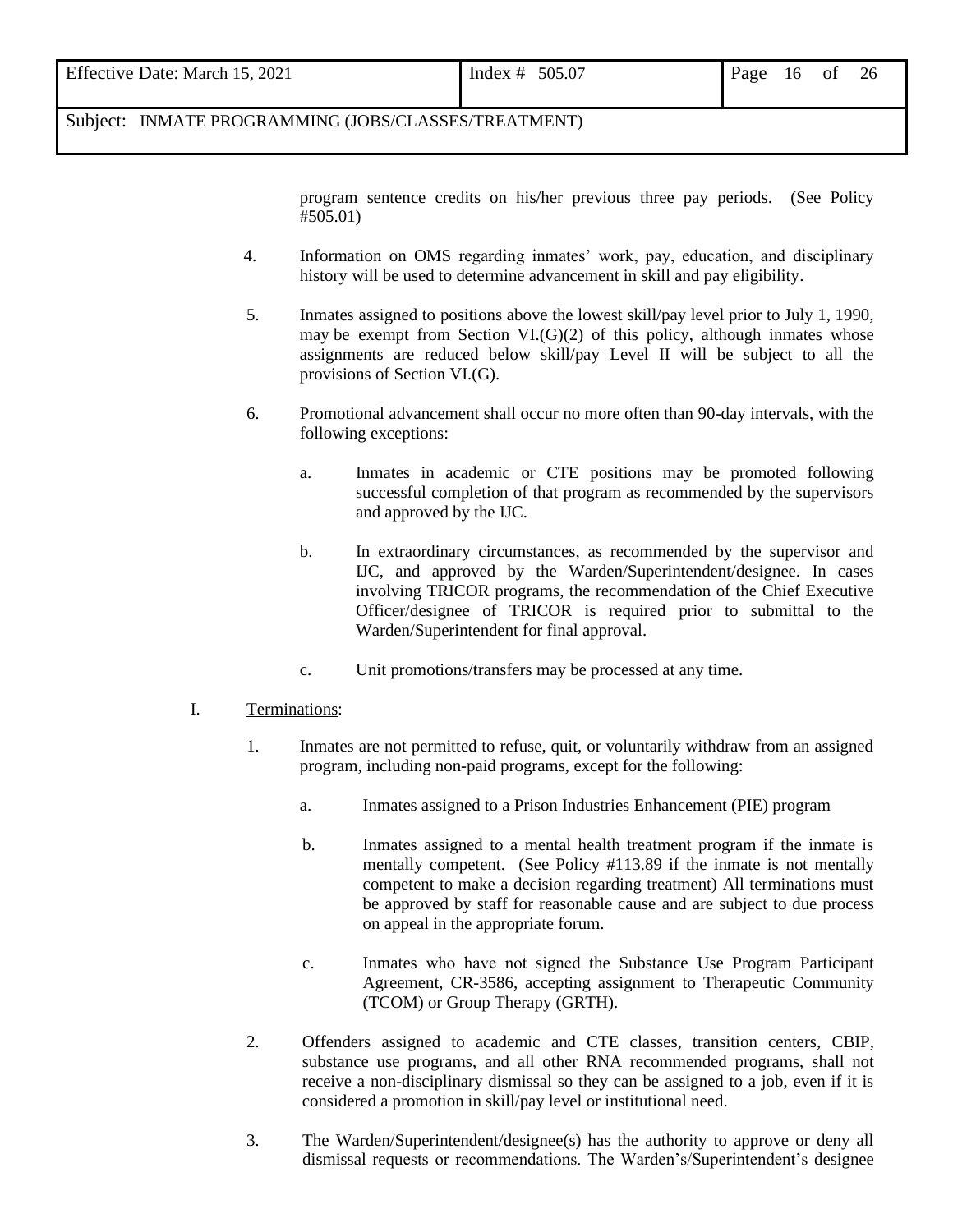| Effective Date: March 15, 2021<br>Index # $505.07$<br>Page<br>$16$ of<br>26 |
|-----------------------------------------------------------------------------|
|-----------------------------------------------------------------------------|

program sentence credits on his/her previous three pay periods. (See Policy #505.01)

- 4. Information on OMS regarding inmates' work, pay, education, and disciplinary history will be used to determine advancement in skill and pay eligibility.
- 5. Inmates assigned to positions above the lowest skill/pay level prior to July 1, 1990, may be exempt from Section  $VI(G)(2)$  of this policy, although inmates whose assignments are reduced below skill/pay Level II will be subject to all the provisions of Section VI.(G).
- 6. Promotional advancement shall occur no more often than 90-day intervals, with the following exceptions:
	- a. Inmates in academic or CTE positions may be promoted following successful completion of that program as recommended by the supervisors and approved by the IJC.
	- b. In extraordinary circumstances, as recommended by the supervisor and IJC, and approved by the Warden/Superintendent/designee. In cases involving TRICOR programs, the recommendation of the Chief Executive Officer/designee of TRICOR is required prior to submittal to the Warden/Superintendent for final approval.
	- c. Unit promotions/transfers may be processed at any time.

### I. Terminations:

- 1. Inmates are not permitted to refuse, quit, or voluntarily withdraw from an assigned program, including non-paid programs, except for the following:
	- a. Inmates assigned to a Prison Industries Enhancement (PIE) program
	- b. Inmates assigned to a mental health treatment program if the inmate is mentally competent. (See Policy #113.89 if the inmate is not mentally competent to make a decision regarding treatment) All terminations must be approved by staff for reasonable cause and are subject to due process on appeal in the appropriate forum.
	- c. Inmates who have not signed the Substance Use Program Participant Agreement, CR-3586, accepting assignment to Therapeutic Community (TCOM) or Group Therapy (GRTH).
- 2. Offenders assigned to academic and CTE classes, transition centers, CBIP, substance use programs, and all other RNA recommended programs, shall not receive a non-disciplinary dismissal so they can be assigned to a job, even if it is considered a promotion in skill/pay level or institutional need.
- 3. The Warden/Superintendent/designee(s) has the authority to approve or deny all dismissal requests or recommendations. The Warden's/Superintendent's designee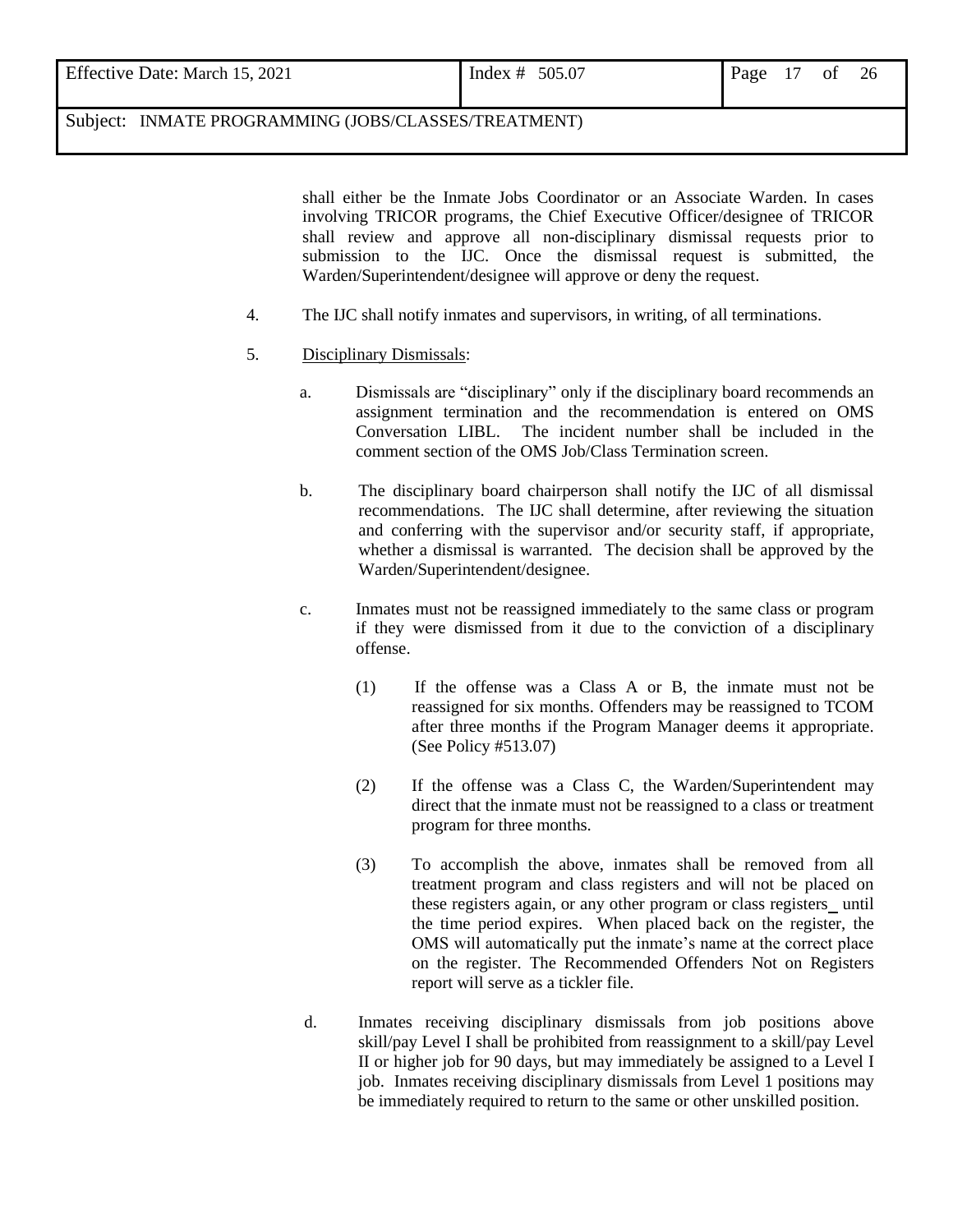| Effective Date: March 15, 2021 |  |  |
|--------------------------------|--|--|
|--------------------------------|--|--|

shall either be the Inmate Jobs Coordinator or an Associate Warden. In cases involving TRICOR programs, the Chief Executive Officer/designee of TRICOR shall review and approve all non-disciplinary dismissal requests prior to submission to the IJC. Once the dismissal request is submitted, the Warden/Superintendent/designee will approve or deny the request.

- 4. The IJC shall notify inmates and supervisors, in writing, of all terminations.
- 5. Disciplinary Dismissals:
	- a. Dismissals are "disciplinary" only if the disciplinary board recommends an assignment termination and the recommendation is entered on OMS Conversation LIBL. The incident number shall be included in the comment section of the OMS Job/Class Termination screen.
	- b. The disciplinary board chairperson shall notify the IJC of all dismissal recommendations. The IJC shall determine, after reviewing the situation and conferring with the supervisor and/or security staff, if appropriate, whether a dismissal is warranted. The decision shall be approved by the Warden/Superintendent/designee.
	- c. Inmates must not be reassigned immediately to the same class or program if they were dismissed from it due to the conviction of a disciplinary offense.
		- (1) If the offense was a Class A or B, the inmate must not be reassigned for six months. Offenders may be reassigned to TCOM after three months if the Program Manager deems it appropriate. (See Policy #513.07)
		- (2) If the offense was a Class C, the Warden/Superintendent may direct that the inmate must not be reassigned to a class or treatment program for three months.
		- (3) To accomplish the above, inmates shall be removed from all treatment program and class registers and will not be placed on these registers again, or any other program or class registers\_until the time period expires. When placed back on the register, the OMS will automatically put the inmate's name at the correct place on the register. The Recommended Offenders Not on Registers report will serve as a tickler file.
	- d. Inmates receiving disciplinary dismissals from job positions above skill/pay Level I shall be prohibited from reassignment to a skill/pay Level II or higher job for 90 days, but may immediately be assigned to a Level I job. Inmates receiving disciplinary dismissals from Level 1 positions may be immediately required to return to the same or other unskilled position.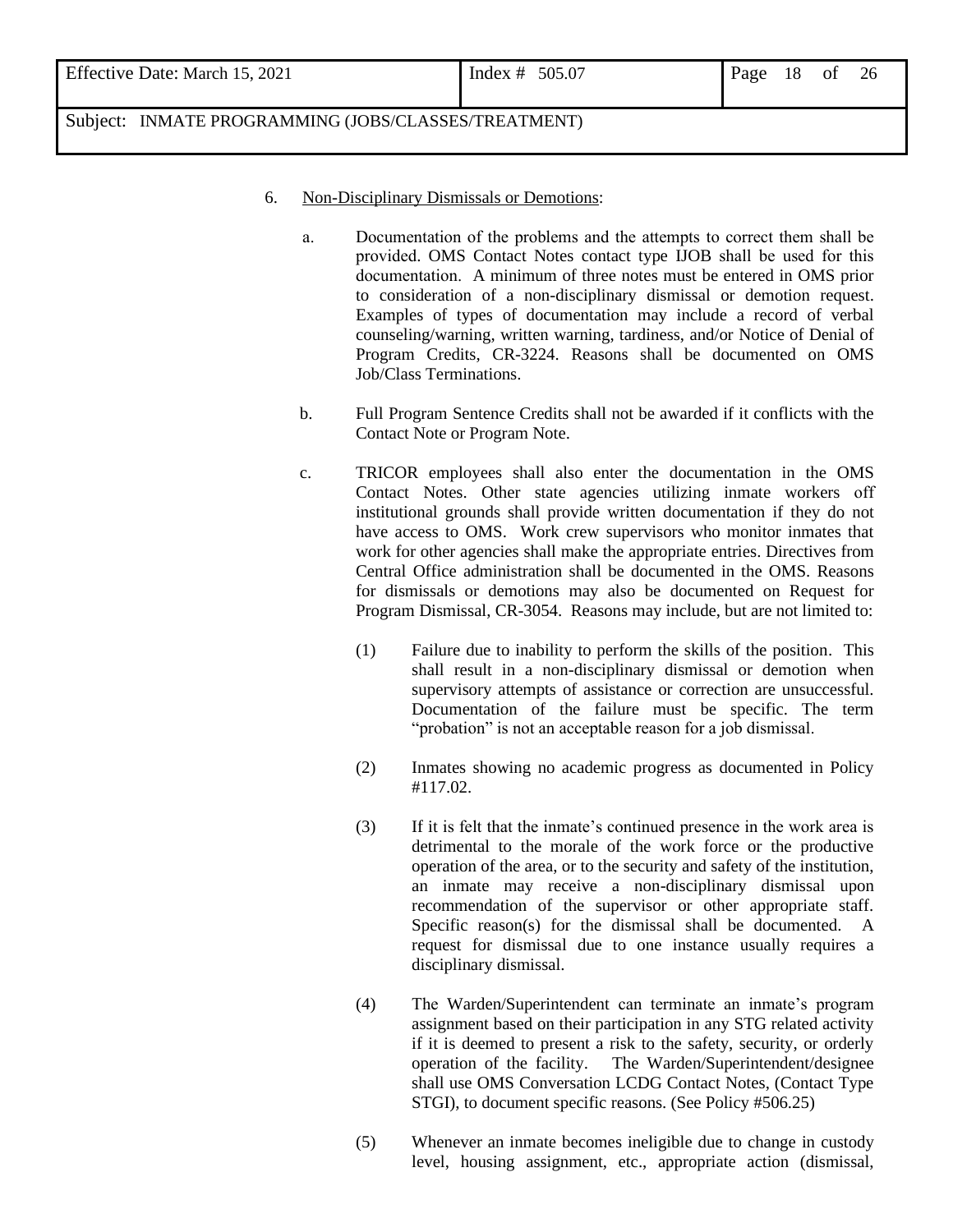- 6. Non-Disciplinary Dismissals or Demotions:
	- a. Documentation of the problems and the attempts to correct them shall be provided. OMS Contact Notes contact type IJOB shall be used for this documentation. A minimum of three notes must be entered in OMS prior to consideration of a non-disciplinary dismissal or demotion request. Examples of types of documentation may include a record of verbal counseling/warning, written warning, tardiness, and/or Notice of Denial of Program Credits, CR-3224. Reasons shall be documented on OMS Job/Class Terminations.
	- b. Full Program Sentence Credits shall not be awarded if it conflicts with the Contact Note or Program Note.
	- c. TRICOR employees shall also enter the documentation in the OMS Contact Notes. Other state agencies utilizing inmate workers off institutional grounds shall provide written documentation if they do not have access to OMS. Work crew supervisors who monitor inmates that work for other agencies shall make the appropriate entries. Directives from Central Office administration shall be documented in the OMS. Reasons for dismissals or demotions may also be documented on Request for Program Dismissal, CR-3054. Reasons may include, but are not limited to:
		- (1) Failure due to inability to perform the skills of the position. This shall result in a non-disciplinary dismissal or demotion when supervisory attempts of assistance or correction are unsuccessful. Documentation of the failure must be specific. The term "probation" is not an acceptable reason for a job dismissal.
		- (2) Inmates showing no academic progress as documented in Policy #117.02.
		- (3) If it is felt that the inmate's continued presence in the work area is detrimental to the morale of the work force or the productive operation of the area, or to the security and safety of the institution, an inmate may receive a non-disciplinary dismissal upon recommendation of the supervisor or other appropriate staff. Specific reason(s) for the dismissal shall be documented. A request for dismissal due to one instance usually requires a disciplinary dismissal.
		- (4) The Warden/Superintendent can terminate an inmate's program assignment based on their participation in any STG related activity if it is deemed to present a risk to the safety, security, or orderly operation of the facility. The Warden/Superintendent/designee shall use OMS Conversation LCDG Contact Notes, (Contact Type STGI), to document specific reasons. (See Policy #506.25)
		- (5) Whenever an inmate becomes ineligible due to change in custody level, housing assignment, etc., appropriate action (dismissal,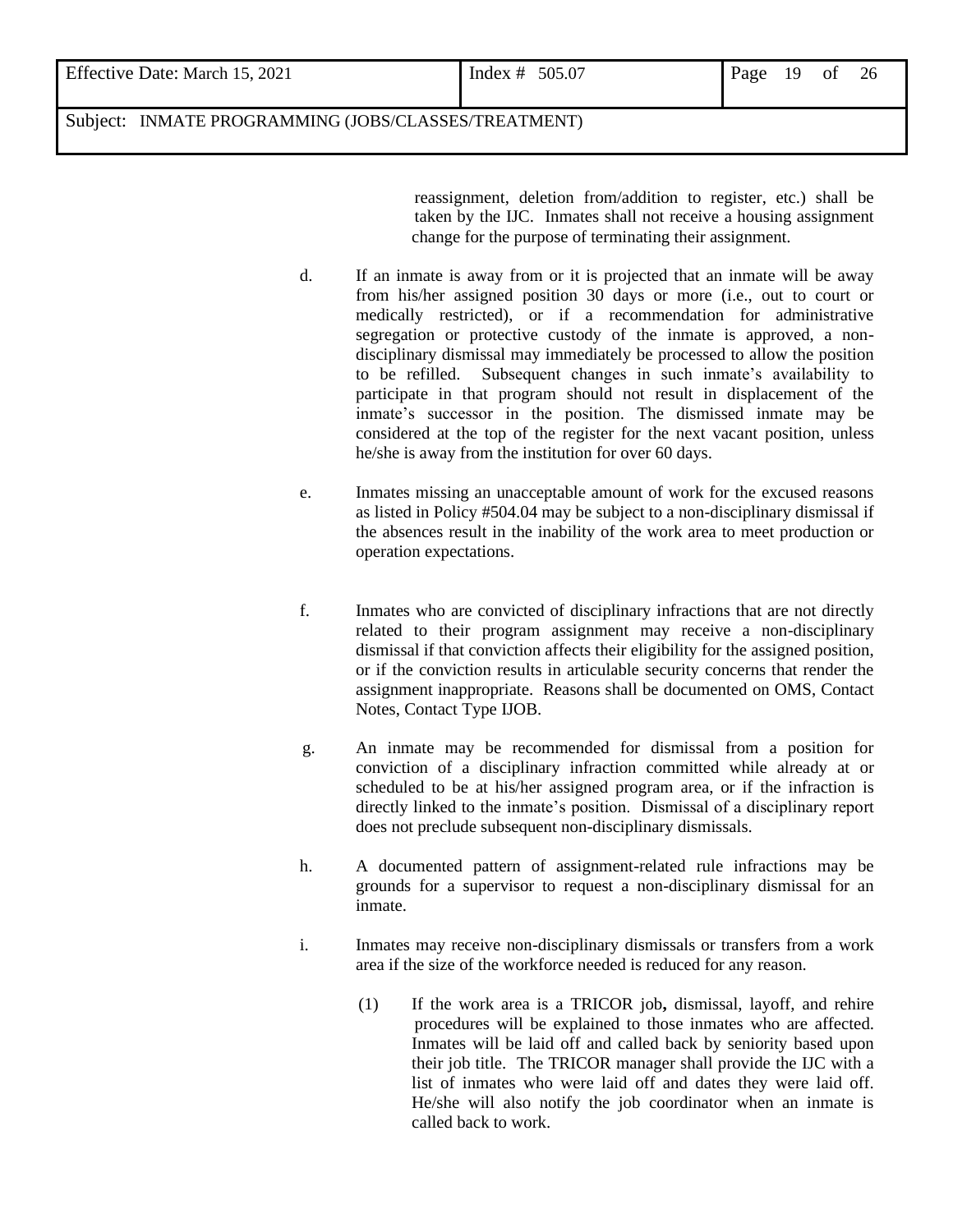| Effective Date: March 15, 2021 |  |  |  |  |
|--------------------------------|--|--|--|--|
|--------------------------------|--|--|--|--|

reassignment, deletion from/addition to register, etc.) shall be taken by the IJC. Inmates shall not receive a housing assignment change for the purpose of terminating their assignment.

- d. If an inmate is away from or it is projected that an inmate will be away from his/her assigned position 30 days or more (i.e., out to court or medically restricted), or if a recommendation for administrative segregation or protective custody of the inmate is approved, a nondisciplinary dismissal may immediately be processed to allow the position to be refilled. Subsequent changes in such inmate's availability to participate in that program should not result in displacement of the inmate's successor in the position. The dismissed inmate may be considered at the top of the register for the next vacant position, unless he/she is away from the institution for over 60 days.
- e. Inmates missing an unacceptable amount of work for the excused reasons as listed in Policy #504.04 may be subject to a non-disciplinary dismissal if the absences result in the inability of the work area to meet production or operation expectations.
- f. Inmates who are convicted of disciplinary infractions that are not directly related to their program assignment may receive a non-disciplinary dismissal if that conviction affects their eligibility for the assigned position, or if the conviction results in articulable security concerns that render the assignment inappropriate. Reasons shall be documented on OMS, Contact Notes, Contact Type IJOB.
- g. An inmate may be recommended for dismissal from a position for conviction of a disciplinary infraction committed while already at or scheduled to be at his/her assigned program area, or if the infraction is directly linked to the inmate's position. Dismissal of a disciplinary report does not preclude subsequent non-disciplinary dismissals.
- h. A documented pattern of assignment-related rule infractions may be grounds for a supervisor to request a non-disciplinary dismissal for an inmate.
- i. Inmates may receive non-disciplinary dismissals or transfers from a work area if the size of the workforce needed is reduced for any reason.
	- (1) If the work area is a TRICOR job**,** dismissal, layoff, and rehire procedures will be explained to those inmates who are affected. Inmates will be laid off and called back by seniority based upon their job title. The TRICOR manager shall provide the IJC with a list of inmates who were laid off and dates they were laid off. He/she will also notify the job coordinator when an inmate is called back to work.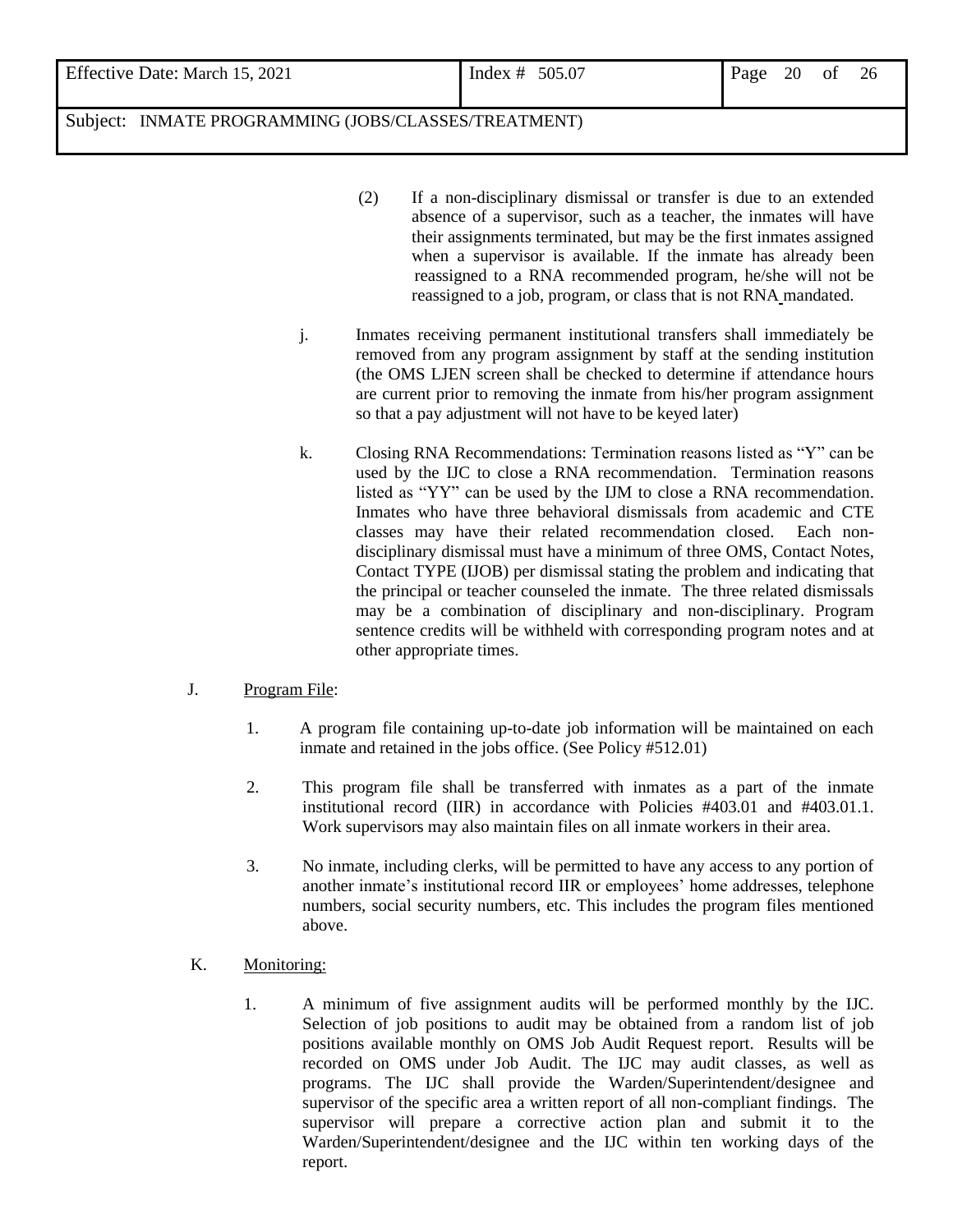Effective Date: March 15, 2021 Index # 505.07 Page 20 of 26

Subject: INMATE PROGRAMMING (JOBS/CLASSES/TREATMENT)

- (2) If a non-disciplinary dismissal or transfer is due to an extended absence of a supervisor, such as a teacher, the inmates will have their assignments terminated, but may be the first inmates assigned when a supervisor is available. If the inmate has already been reassigned to a RNA recommended program, he/she will not be reassigned to a job, program, or class that is not RNA mandated.
- j. Inmates receiving permanent institutional transfers shall immediately be removed from any program assignment by staff at the sending institution (the OMS LJEN screen shall be checked to determine if attendance hours are current prior to removing the inmate from his/her program assignment so that a pay adjustment will not have to be keyed later)
- k. Closing RNA Recommendations: Termination reasons listed as "Y" can be used by the IJC to close a RNA recommendation. Termination reasons listed as "YY" can be used by the IJM to close a RNA recommendation. Inmates who have three behavioral dismissals from academic and CTE classes may have their related recommendation closed. Each nondisciplinary dismissal must have a minimum of three OMS, Contact Notes, Contact TYPE (IJOB) per dismissal stating the problem and indicating that the principal or teacher counseled the inmate. The three related dismissals may be a combination of disciplinary and non-disciplinary. Program sentence credits will be withheld with corresponding program notes and at other appropriate times.

### J. Program File:

- 1. A program file containing up-to-date job information will be maintained on each inmate and retained in the jobs office. (See Policy #512.01)
- 2. This program file shall be transferred with inmates as a part of the inmate institutional record (IIR) in accordance with Policies #403.01 and #403.01.1. Work supervisors may also maintain files on all inmate workers in their area.
- 3. No inmate, including clerks, will be permitted to have any access to any portion of another inmate's institutional record IIR or employees' home addresses, telephone numbers, social security numbers, etc. This includes the program files mentioned above.
- K. Monitoring:
	- 1. A minimum of five assignment audits will be performed monthly by the IJC. Selection of job positions to audit may be obtained from a random list of job positions available monthly on OMS Job Audit Request report. Results will be recorded on OMS under Job Audit. The IJC may audit classes, as well as programs. The IJC shall provide the Warden/Superintendent/designee and supervisor of the specific area a written report of all non-compliant findings. The supervisor will prepare a corrective action plan and submit it to the Warden/Superintendent/designee and the IJC within ten working days of the report.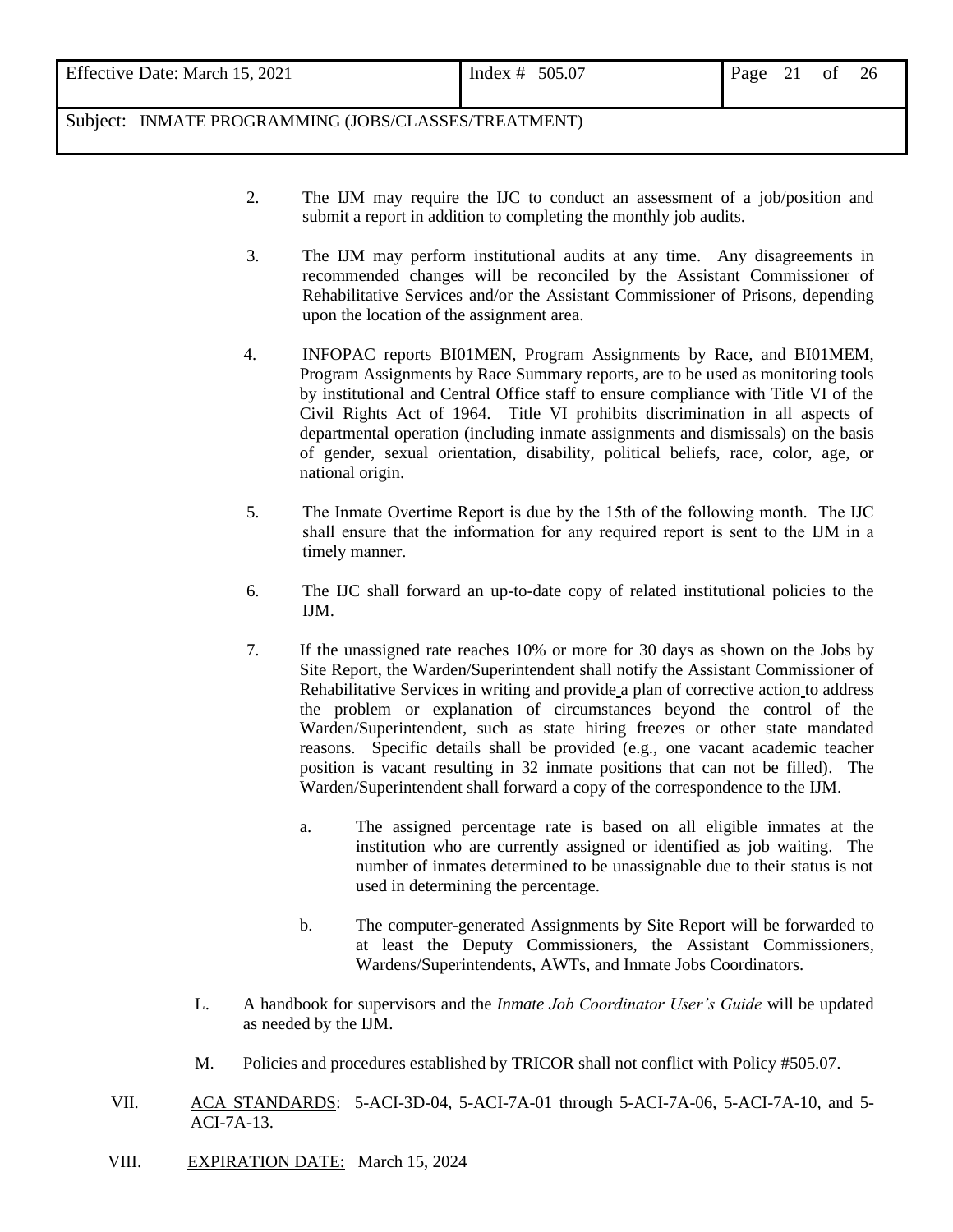- 2. The IJM may require the IJC to conduct an assessment of a job/position and submit a report in addition to completing the monthly job audits.
- 3. The IJM may perform institutional audits at any time. Any disagreements in recommended changes will be reconciled by the Assistant Commissioner of Rehabilitative Services and/or the Assistant Commissioner of Prisons, depending upon the location of the assignment area.
- 4. INFOPAC reports BI01MEN, Program Assignments by Race, and BI01MEM, Program Assignments by Race Summary reports, are to be used as monitoring tools by institutional and Central Office staff to ensure compliance with Title VI of the Civil Rights Act of 1964. Title VI prohibits discrimination in all aspects of departmental operation (including inmate assignments and dismissals) on the basis of gender, sexual orientation, disability, political beliefs, race, color, age, or national origin.
- 5. The Inmate Overtime Report is due by the 15th of the following month. The IJC shall ensure that the information for any required report is sent to the IJM in a timely manner.
- 6. The IJC shall forward an up-to-date copy of related institutional policies to the IJM.
- 7. If the unassigned rate reaches 10% or more for 30 days as shown on the Jobs by Site Report, the Warden/Superintendent shall notify the Assistant Commissioner of Rehabilitative Services in writing and provide a plan of corrective action to address the problem or explanation of circumstances beyond the control of the Warden/Superintendent, such as state hiring freezes or other state mandated reasons. Specific details shall be provided (e.g., one vacant academic teacher position is vacant resulting in 32 inmate positions that can not be filled). The Warden/Superintendent shall forward a copy of the correspondence to the IJM.
	- a. The assigned percentage rate is based on all eligible inmates at the institution who are currently assigned or identified as job waiting. The number of inmates determined to be unassignable due to their status is not used in determining the percentage.
	- b. The computer-generated Assignments by Site Report will be forwarded to at least the Deputy Commissioners, the Assistant Commissioners, Wardens/Superintendents, AWTs, and Inmate Jobs Coordinators.
- L. A handbook for supervisors and the *Inmate Job Coordinator User's Guide* will be updated as needed by the IJM.
- M. Policies and procedures established by TRICOR shall not conflict with Policy #505.07.
- VII. ACA STANDARDS: 5-ACI-3D-04, 5-ACI-7A-01 through 5-ACI-7A-06, 5-ACI-7A-10, and 5- ACI-7A-13.
- VIII. EXPIRATION DATE: March 15, 2024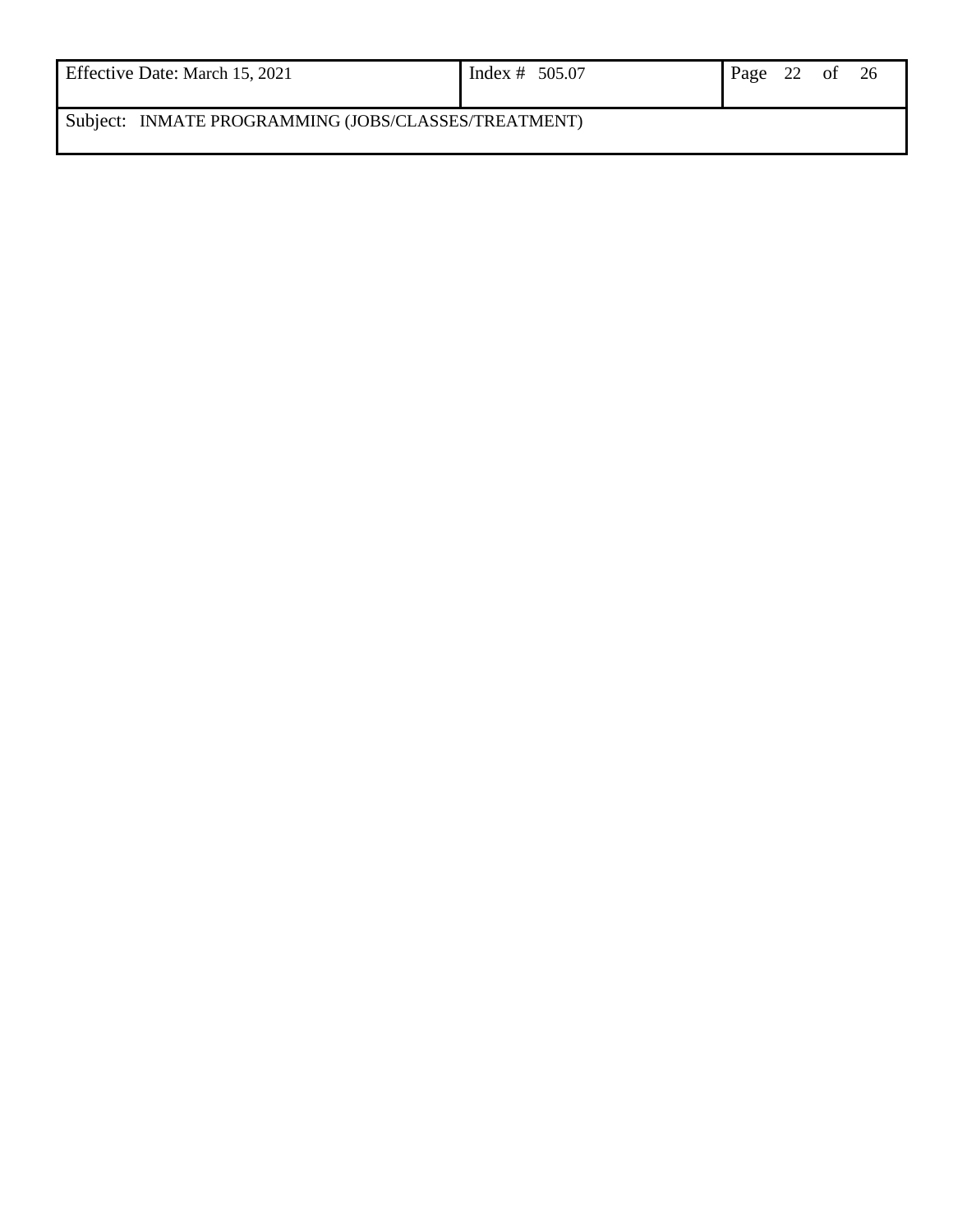| Effective Date: March 15, 2021                       | Index # $505.07$ | Page 22 of |  |  | 26 |
|------------------------------------------------------|------------------|------------|--|--|----|
| Subject: INMATE PROGRAMMING (JOBS/CLASSES/TREATMENT) |                  |            |  |  |    |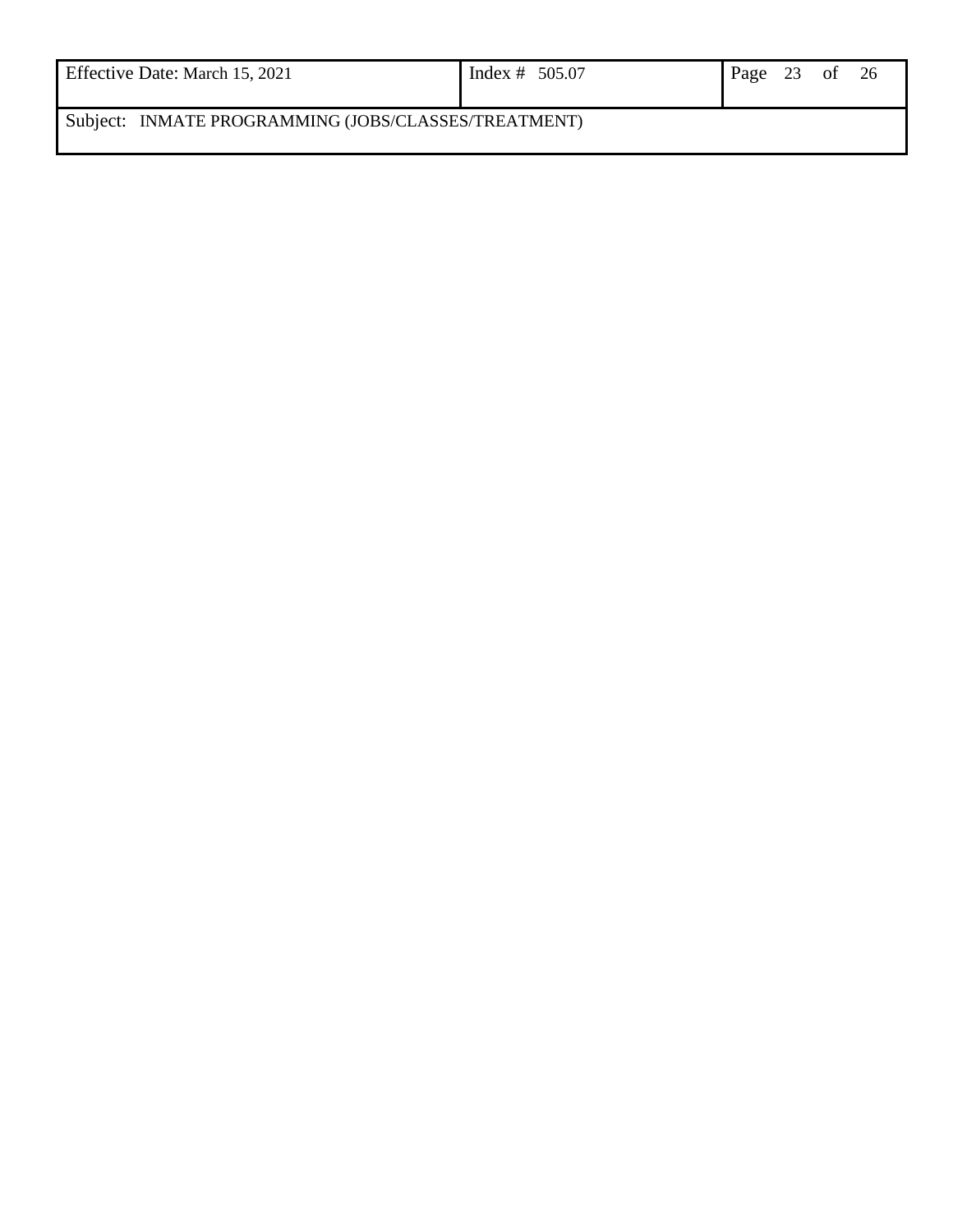| Effective Date: March 15, 2021                       | Index # $505.07$ | Page 23 of |  |  | - 26 |
|------------------------------------------------------|------------------|------------|--|--|------|
| Subject: INMATE PROGRAMMING (JOBS/CLASSES/TREATMENT) |                  |            |  |  |      |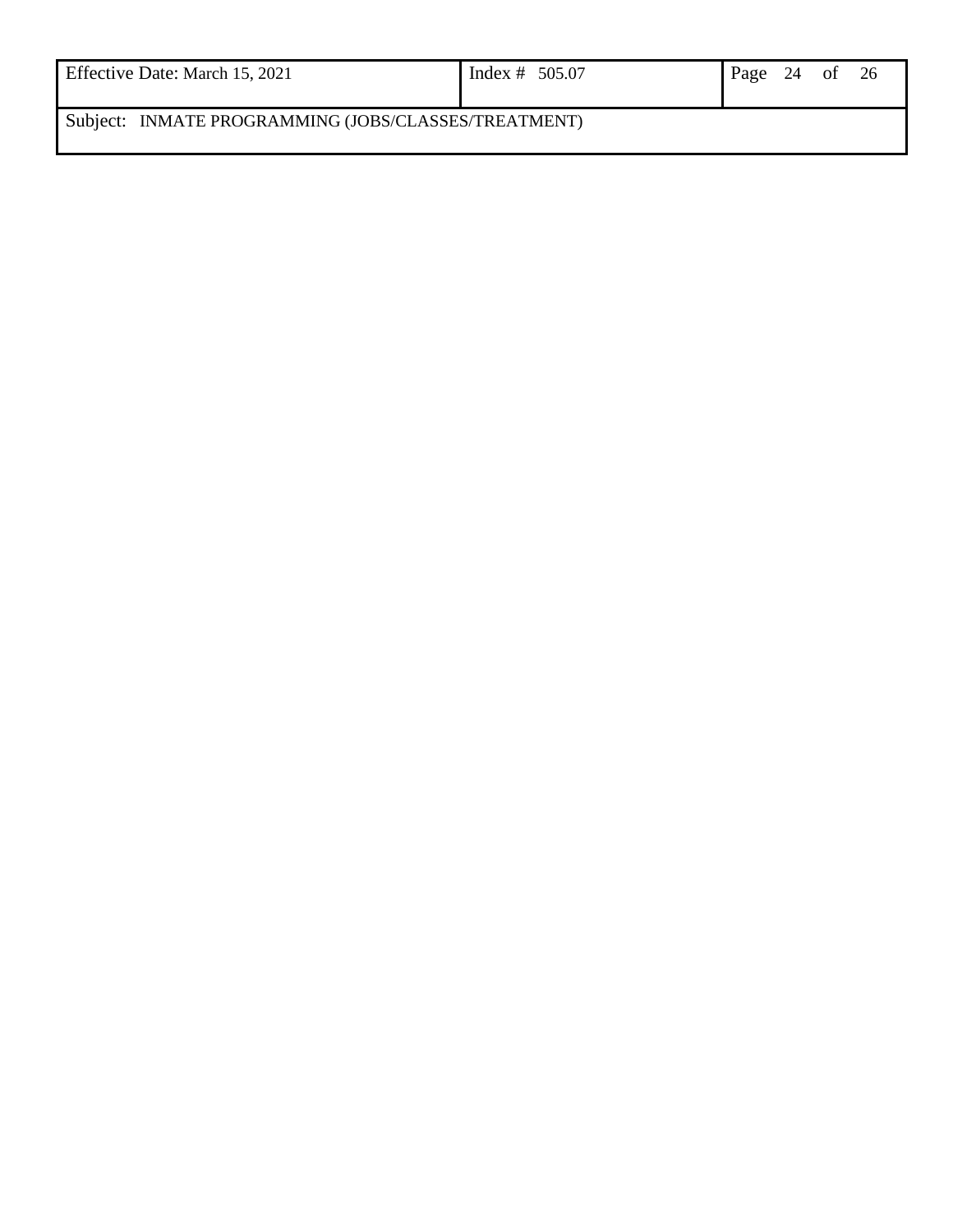| Effective Date: March 15, 2021                       | Index # $505.07$ | Page 24 of |  |  | - 26 |
|------------------------------------------------------|------------------|------------|--|--|------|
| Subject: INMATE PROGRAMMING (JOBS/CLASSES/TREATMENT) |                  |            |  |  |      |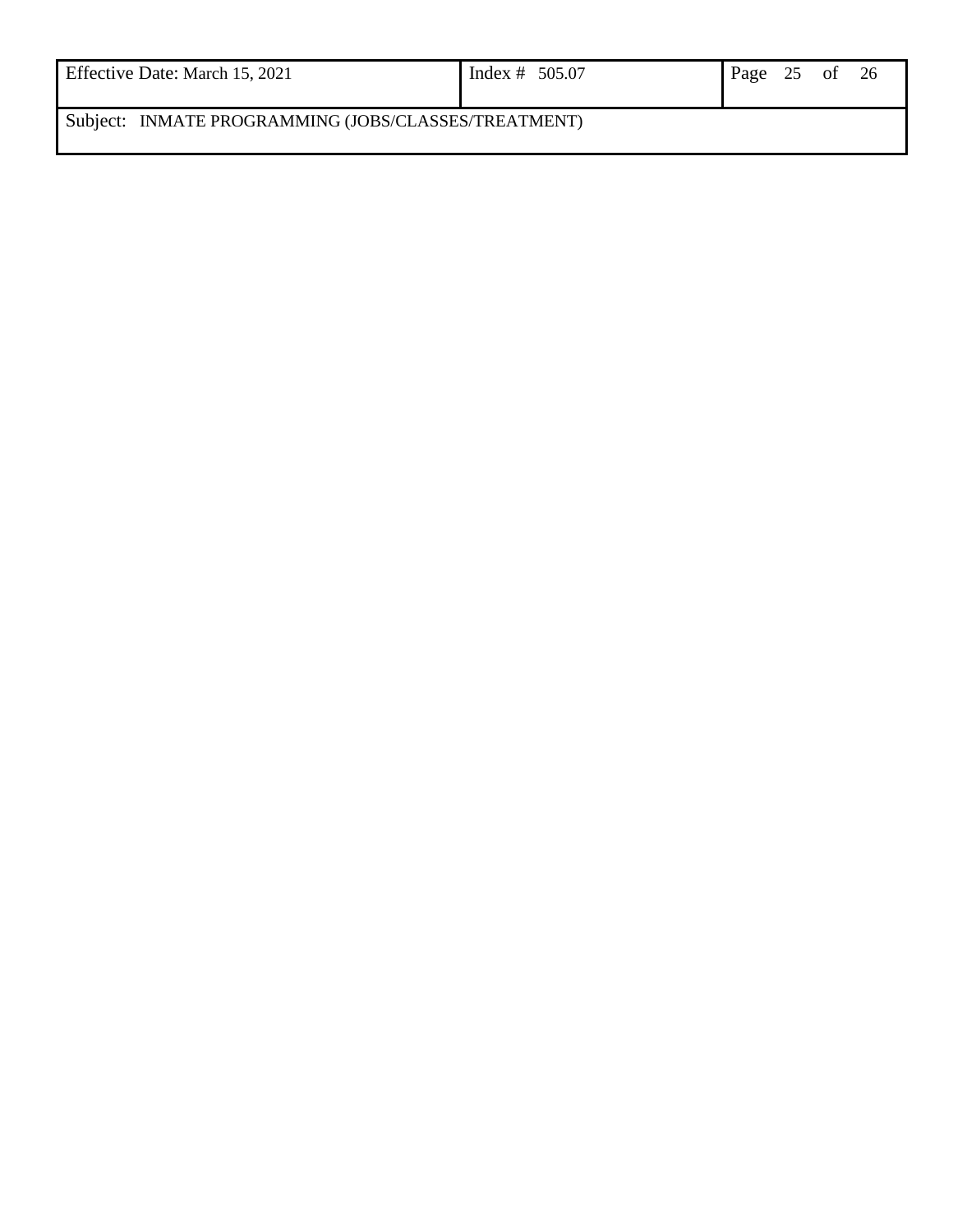| Effective Date: March 15, 2021                       | Index # $505.07$ | Page 25 of |  |  | - 26 |
|------------------------------------------------------|------------------|------------|--|--|------|
| Subject: INMATE PROGRAMMING (JOBS/CLASSES/TREATMENT) |                  |            |  |  |      |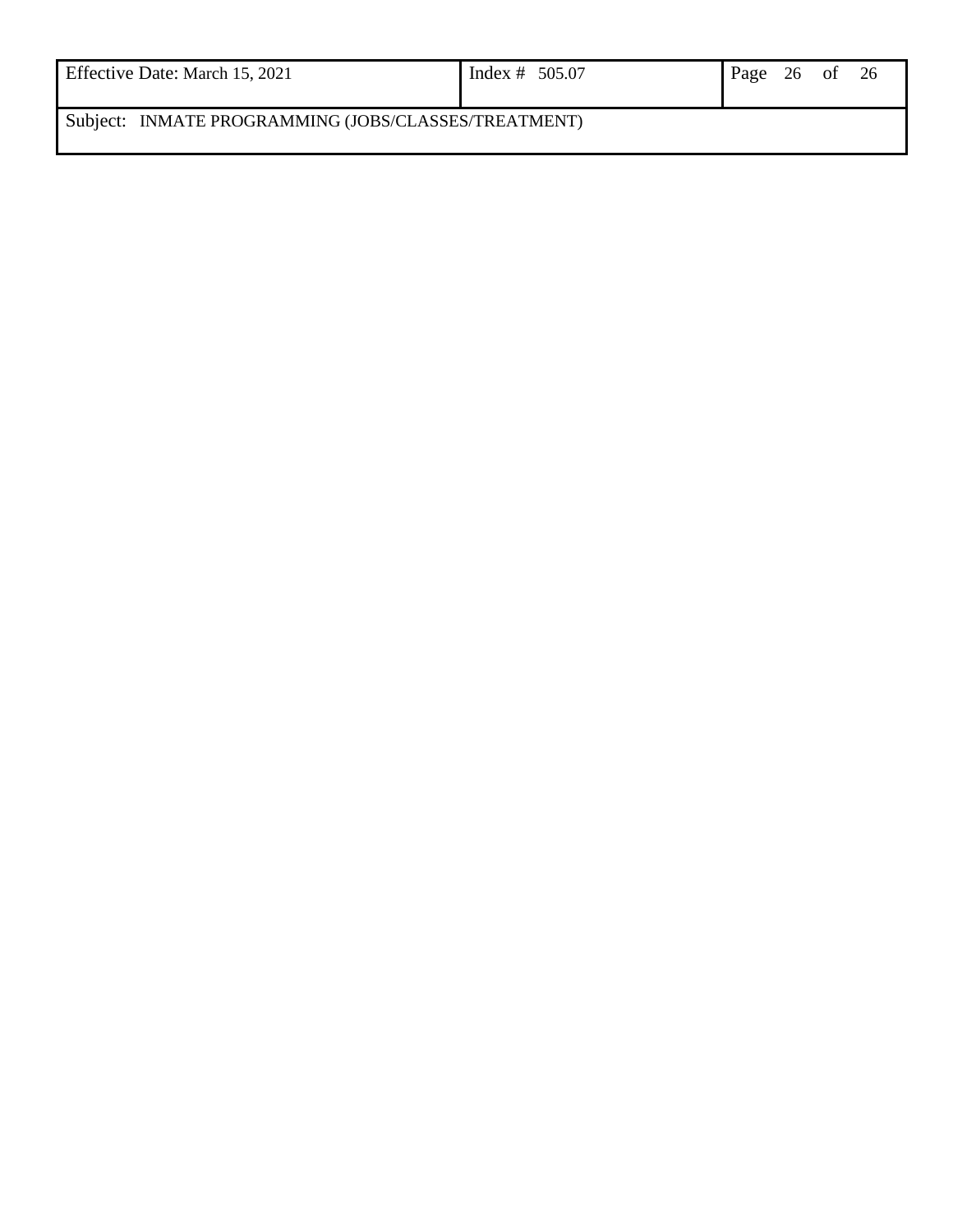| Effective Date: March 15, 2021                       | Index # $505.07$ | Page 26 of |  |  | - 26 |
|------------------------------------------------------|------------------|------------|--|--|------|
| Subject: INMATE PROGRAMMING (JOBS/CLASSES/TREATMENT) |                  |            |  |  |      |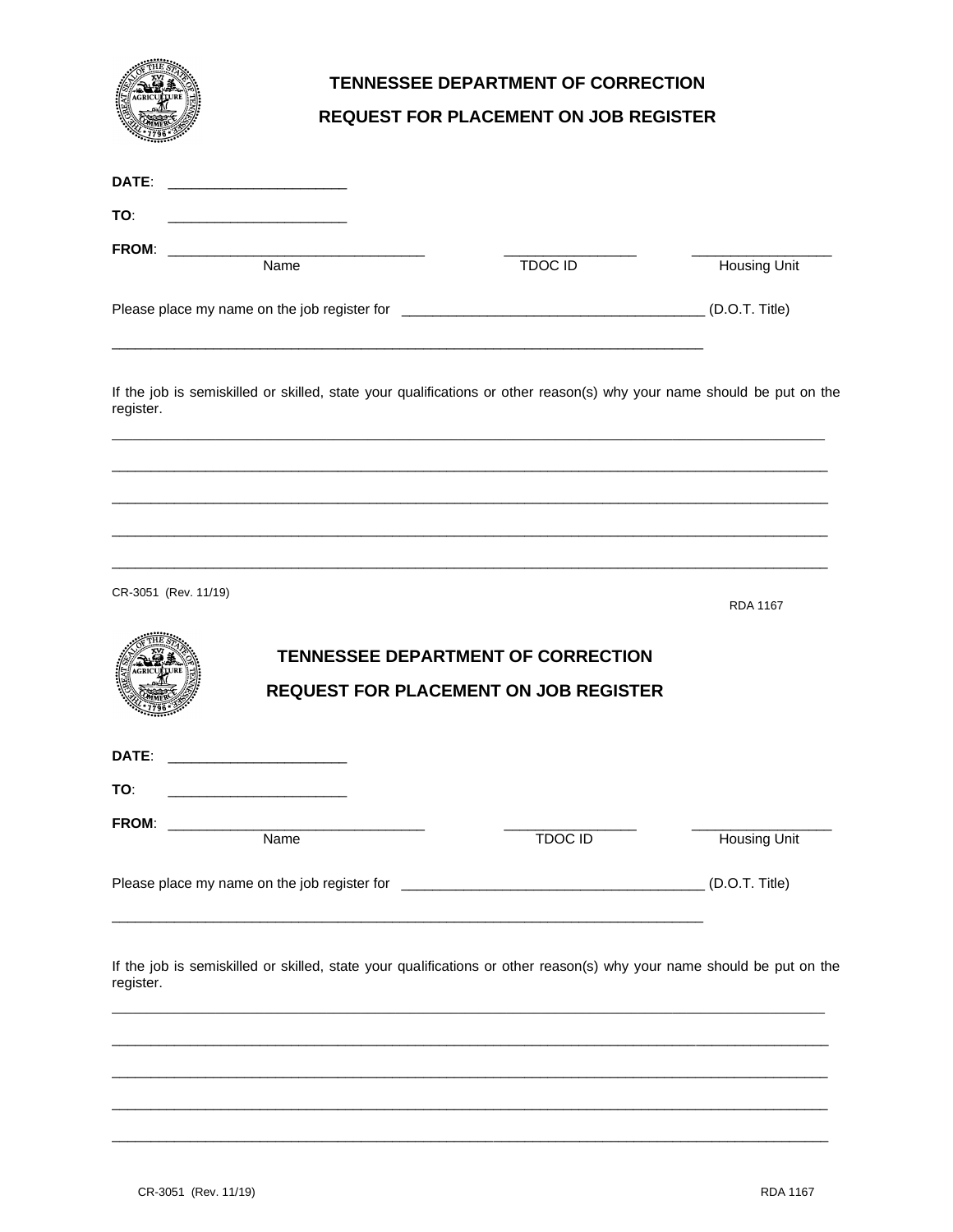

# TENNESSEE DEPARTMENT OF CORRECTION **REQUEST FOR PLACEMENT ON JOB REGISTER**

| DATE:<br>the control of the control of the control of the control of the control of                                                |                                                                                    |                     |
|------------------------------------------------------------------------------------------------------------------------------------|------------------------------------------------------------------------------------|---------------------|
| TO:                                                                                                                                |                                                                                    |                     |
| <b>FROM:</b><br>Name                                                                                                               | <b>TDOC ID</b>                                                                     | Housing Unit        |
|                                                                                                                                    |                                                                                    |                     |
| If the job is semiskilled or skilled, state your qualifications or other reason(s) why your name should be put on the<br>register. |                                                                                    |                     |
|                                                                                                                                    |                                                                                    |                     |
| CR-3051 (Rev. 11/19)                                                                                                               |                                                                                    | <b>RDA 1167</b>     |
|                                                                                                                                    | TENNESSEE DEPARTMENT OF CORRECTION<br><b>REQUEST FOR PLACEMENT ON JOB REGISTER</b> |                     |
| DATE:<br>TO:                                                                                                                       |                                                                                    |                     |
| <b>FROM:</b><br>Name                                                                                                               | <b>TDOC ID</b>                                                                     | <b>Housing Unit</b> |
|                                                                                                                                    |                                                                                    |                     |
| If the job is semiskilled or skilled, state your qualifications or other reason(s) why your name should be put on the<br>register. |                                                                                    |                     |
|                                                                                                                                    |                                                                                    |                     |
|                                                                                                                                    |                                                                                    |                     |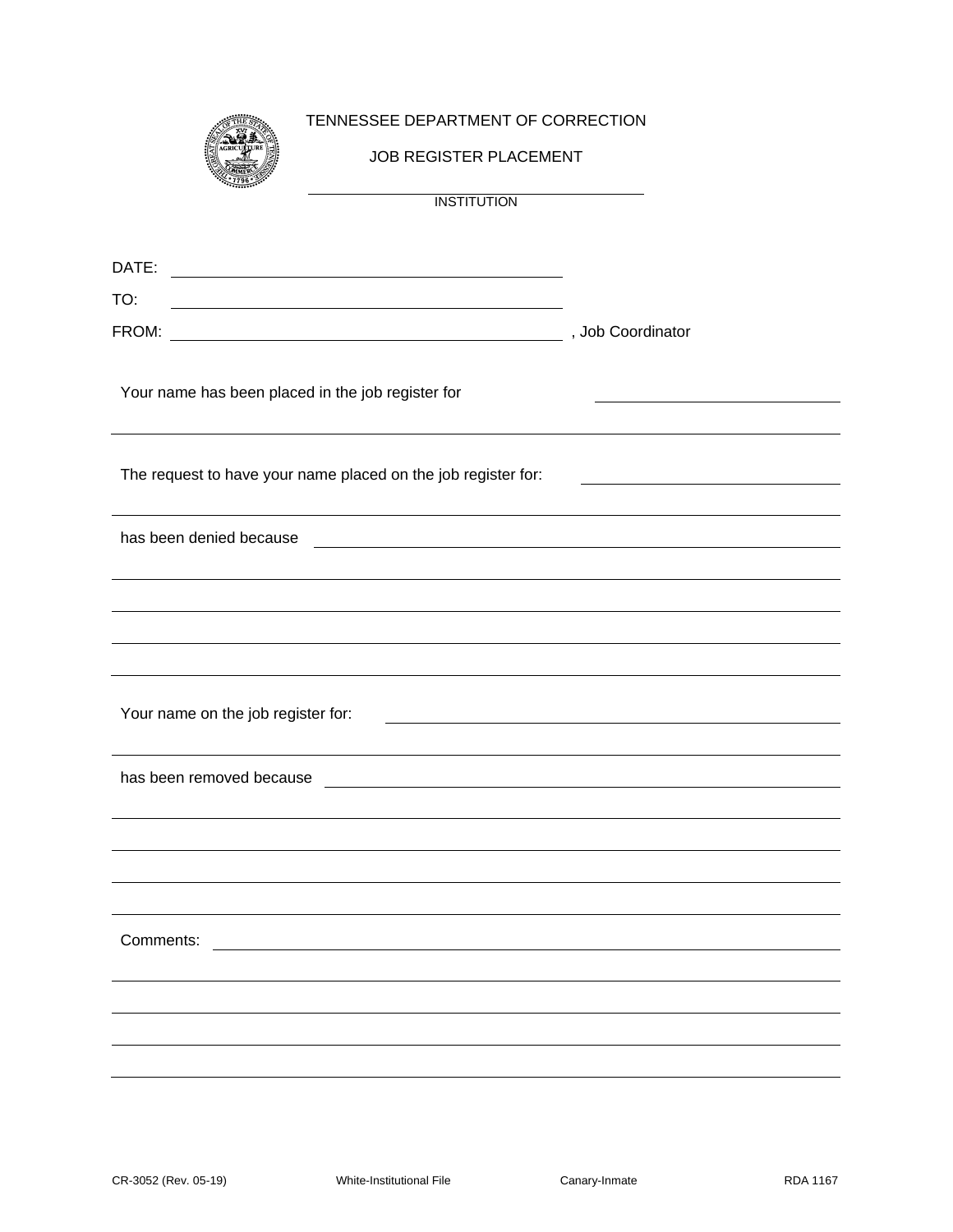|  | TENNESSEE DEPARTMENT OF CORRECTION |
|--|------------------------------------|
|  |                                    |

JOB REGISTER PLACEMENT

|                                    | <b>INSTITUTION</b>                                                                                                     |                                                                                                                       |
|------------------------------------|------------------------------------------------------------------------------------------------------------------------|-----------------------------------------------------------------------------------------------------------------------|
|                                    |                                                                                                                        |                                                                                                                       |
| DATE:                              | <u> 1989 - Johann Stoff, deutscher Stoffen und der Stoffen und der Stoffen und der Stoffen und der Stoffen und der</u> |                                                                                                                       |
| TO:                                | <u> 1980 - Johann Barn, mars ann an t-Amhain Aonaich an t-Aonaich an t-Aonaich an t-Aonaich an t-Aonaich an t-Aon</u>  |                                                                                                                       |
| FROM:                              | substitution of the state of the state of the state of the state of the state of the state of the state of the         |                                                                                                                       |
|                                    | Your name has been placed in the job register for                                                                      |                                                                                                                       |
|                                    | The request to have your name placed on the job register for:                                                          |                                                                                                                       |
| has been denied because            |                                                                                                                        |                                                                                                                       |
|                                    |                                                                                                                        |                                                                                                                       |
|                                    |                                                                                                                        |                                                                                                                       |
|                                    |                                                                                                                        |                                                                                                                       |
| Your name on the job register for: |                                                                                                                        | <u> 1989 - Johann Barn, mars ann an t-Amhain an t-Amhain an t-Amhain an t-Amhain an t-Amhain an t-Amhain an t-Amh</u> |
|                                    |                                                                                                                        |                                                                                                                       |
|                                    |                                                                                                                        |                                                                                                                       |
|                                    |                                                                                                                        |                                                                                                                       |
|                                    |                                                                                                                        |                                                                                                                       |
|                                    |                                                                                                                        |                                                                                                                       |
| Comments:                          |                                                                                                                        |                                                                                                                       |
|                                    |                                                                                                                        |                                                                                                                       |
|                                    |                                                                                                                        |                                                                                                                       |
|                                    |                                                                                                                        |                                                                                                                       |
|                                    |                                                                                                                        |                                                                                                                       |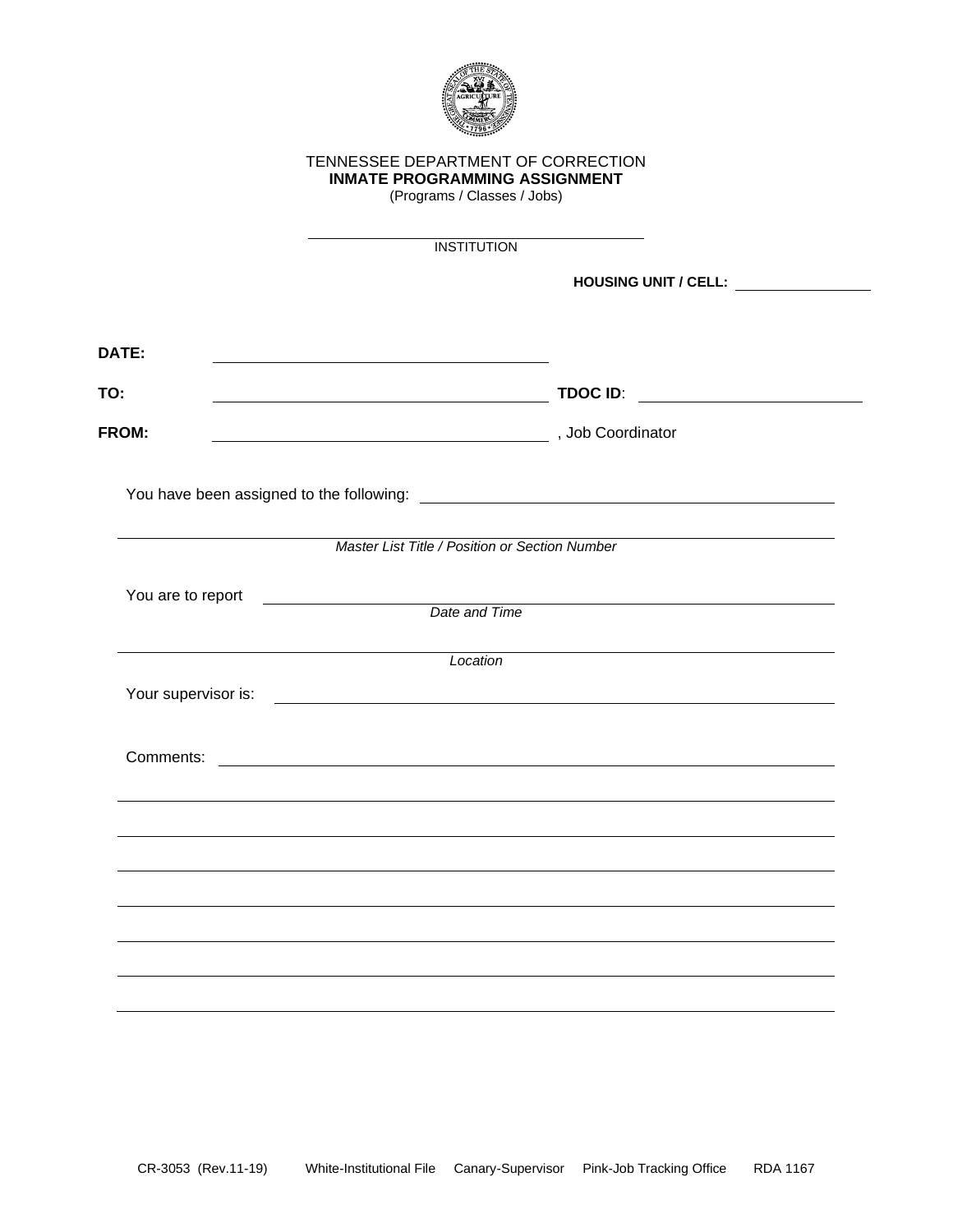

# TENNESSEE DEPARTMENT OF CORRECTION **INMATE PROGRAMMING ASSIGNMENT**

(Programs / Classes / Jobs)

|                                                                |                                                                                                                        | <b>INSTITUTION</b>                             |                                                                                                                                                                                                                               |
|----------------------------------------------------------------|------------------------------------------------------------------------------------------------------------------------|------------------------------------------------|-------------------------------------------------------------------------------------------------------------------------------------------------------------------------------------------------------------------------------|
|                                                                |                                                                                                                        |                                                | HOUSING UNIT / CELL: UNIT AND THE STATE OF THE STATE OF THE STATE OF THE STATE OF THE STATE OF THE STATE OF THE STATE OF THE STATE OF THE STATE OF THE STATE OF THE STATE OF THE STATE OF THE STATE OF THE STATE OF THE STATE |
| DATE:                                                          | <u> 1989 - Johann Stoff, deutscher Stoffen und der Stoffen und der Stoffen und der Stoffen und der Stoffen und der</u> |                                                |                                                                                                                                                                                                                               |
| TO:                                                            | <u> 1980 - Johann Barn, mars ann an t-Amhain Aonaich an t-Aonaich an t-Aonaich ann an t-Aonaich ann an t-Aonaich</u>   |                                                | TDOC ID: _________________________                                                                                                                                                                                            |
| <b>FROM:</b>                                                   | produced a series of the series of the series of the series of the series of the series of the series of the s         |                                                |                                                                                                                                                                                                                               |
|                                                                |                                                                                                                        |                                                |                                                                                                                                                                                                                               |
|                                                                |                                                                                                                        | Master List Title / Position or Section Number |                                                                                                                                                                                                                               |
| You are to report <u>contain the contract of Date and Time</u> |                                                                                                                        |                                                |                                                                                                                                                                                                                               |
|                                                                |                                                                                                                        | Location                                       |                                                                                                                                                                                                                               |
|                                                                |                                                                                                                        |                                                |                                                                                                                                                                                                                               |
|                                                                |                                                                                                                        |                                                |                                                                                                                                                                                                                               |
|                                                                |                                                                                                                        |                                                | ,我们也不会有什么。""我们的人,我们也不会有什么?""我们的人,我们也不会有什么?""我们的人,我们也不会有什么?""我们的人,我们也不会有什么?""我们的人                                                                                                                                              |
|                                                                |                                                                                                                        |                                                |                                                                                                                                                                                                                               |
|                                                                |                                                                                                                        |                                                |                                                                                                                                                                                                                               |
|                                                                |                                                                                                                        |                                                |                                                                                                                                                                                                                               |
|                                                                |                                                                                                                        |                                                |                                                                                                                                                                                                                               |
|                                                                |                                                                                                                        |                                                |                                                                                                                                                                                                                               |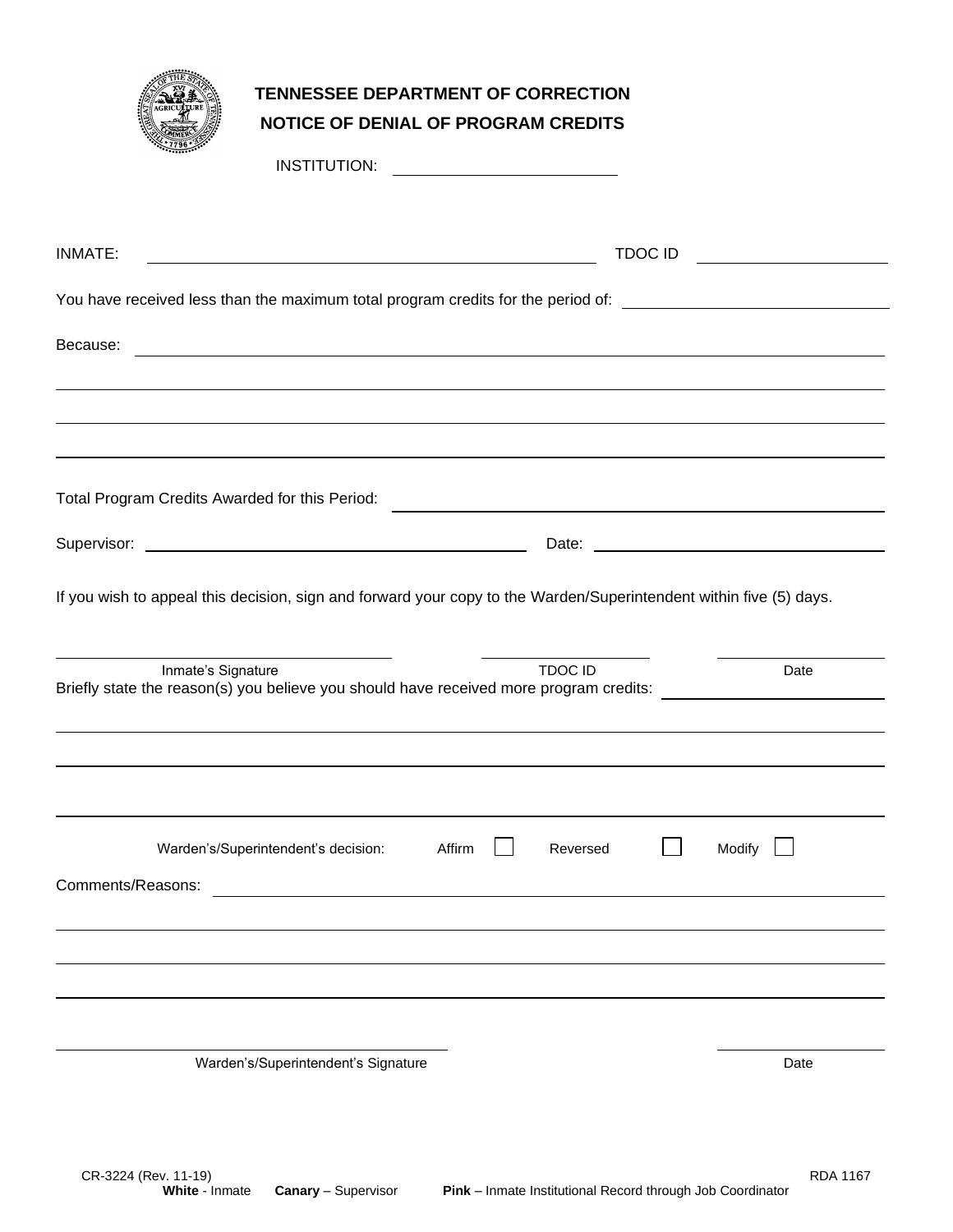| TENNESSEE DEPARTMENT OF CORRECTION<br><b>NOTICE OF DENIAL OF PROGRAM CREDITS</b>                                                                     |  |
|------------------------------------------------------------------------------------------------------------------------------------------------------|--|
| INSTITUTION:                                                                                                                                         |  |
| <b>INMATE:</b><br><b>TDOC ID</b>                                                                                                                     |  |
| You have received less than the maximum total program credits for the period of:                                                                     |  |
| Because:<br><u> 1989 - Johann Stoff, amerikansk politiker (d. 1989)</u>                                                                              |  |
|                                                                                                                                                      |  |
|                                                                                                                                                      |  |
|                                                                                                                                                      |  |
|                                                                                                                                                      |  |
|                                                                                                                                                      |  |
| If you wish to appeal this decision, sign and forward your copy to the Warden/Superintendent within five (5) days.                                   |  |
| <b>TDOC ID</b><br>Inmate's Signature<br>Date<br>Briefly state the reason(s) you believe you should have received more program credits: _____________ |  |
|                                                                                                                                                      |  |
| Modify<br>Warden's/Superintendent's decision:<br>Affirm<br>Reversed<br>Comments/Reasons:                                                             |  |
|                                                                                                                                                      |  |
|                                                                                                                                                      |  |
|                                                                                                                                                      |  |

Warden's/Superintendent's Signature designature designations of the Date Date

<u> 1999 - Johann Barnett, f</u>

 $\overline{\phantom{a}}$ 

 $\overline{\phantom{a}}$ 

 $\overline{\phantom{a}}$ 

 $\mathcal{L}_{\mathcal{A}}$ 

 $\overline{\phantom{a}}$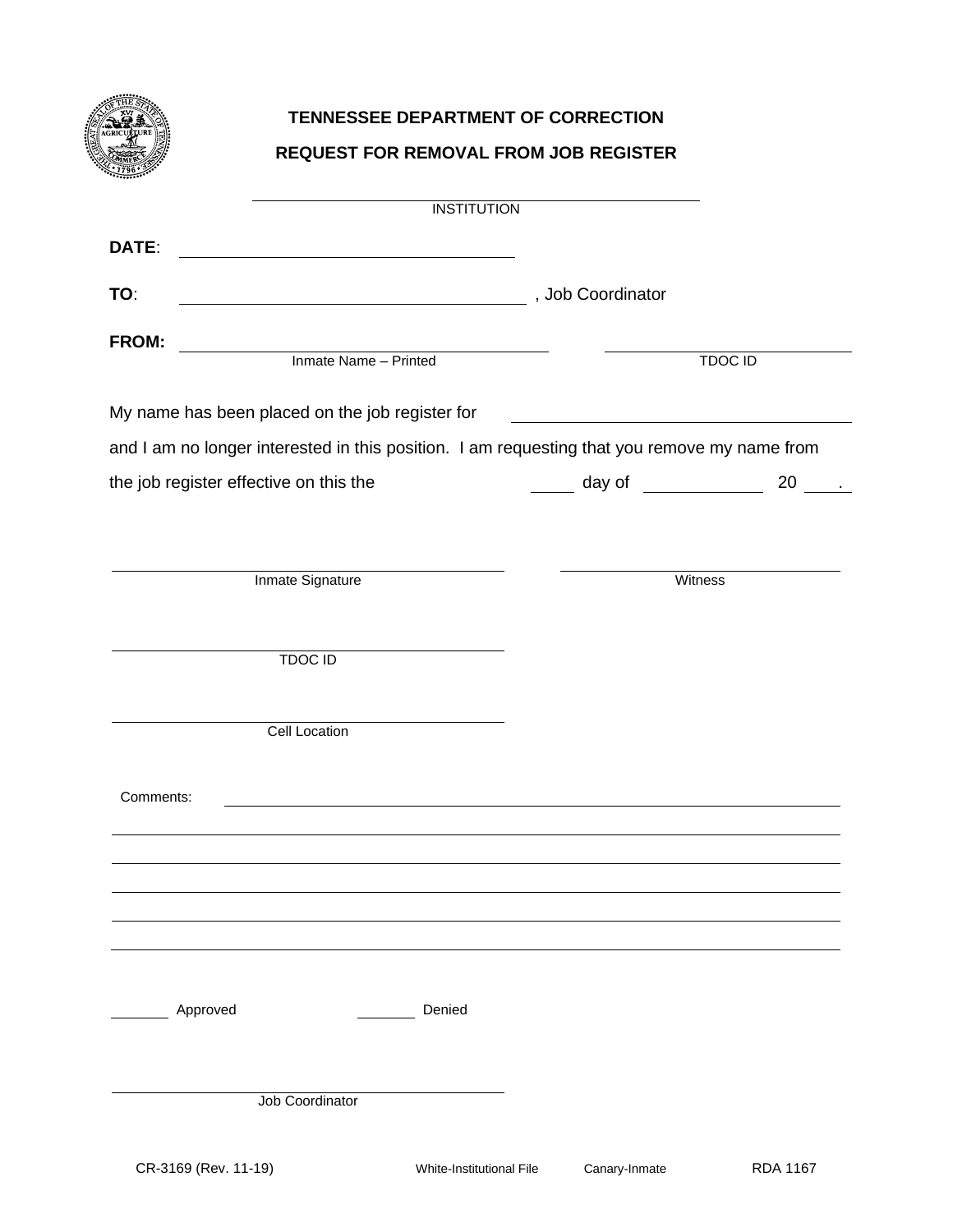

# **TENNESSEE DEPARTMENT OF CORRECTION**

## **REQUEST FOR REMOVAL FROM JOB REGISTER**

|                                                                                                                               | <b>INSTITUTION</b>                                                                                                   |                |
|-------------------------------------------------------------------------------------------------------------------------------|----------------------------------------------------------------------------------------------------------------------|----------------|
| DATE:<br><u> 1989 - Johann Barn, mars eta bainar eta bat erroman erroman erroman erroman erroman erroman erroman erroman </u> |                                                                                                                      |                |
| TO:                                                                                                                           |                                                                                                                      |                |
| FROM:<br>Inmate Name - Printed                                                                                                |                                                                                                                      |                |
|                                                                                                                               |                                                                                                                      | <b>TDOC ID</b> |
| My name has been placed on the job register for                                                                               | <u> 1989 - Johann Stoff, deutscher Stoffen und der Stoffen und der Stoffen und der Stoffen und der Stoffen und d</u> |                |
| and I am no longer interested in this position. I am requesting that you remove my name from                                  |                                                                                                                      |                |
| the job register effective on this the                                                                                        | _____ day of _____________                                                                                           | 20 .           |
|                                                                                                                               |                                                                                                                      |                |
|                                                                                                                               |                                                                                                                      |                |
| Inmate Signature                                                                                                              |                                                                                                                      | Witness        |
|                                                                                                                               |                                                                                                                      |                |
| <b>TDOC ID</b>                                                                                                                |                                                                                                                      |                |
|                                                                                                                               |                                                                                                                      |                |
|                                                                                                                               |                                                                                                                      |                |
| <b>Cell Location</b>                                                                                                          |                                                                                                                      |                |
|                                                                                                                               |                                                                                                                      |                |
| Comments:                                                                                                                     |                                                                                                                      |                |
|                                                                                                                               |                                                                                                                      |                |
|                                                                                                                               |                                                                                                                      |                |
|                                                                                                                               |                                                                                                                      |                |
|                                                                                                                               |                                                                                                                      |                |
|                                                                                                                               |                                                                                                                      |                |
| Approved                                                                                                                      | Denied                                                                                                               |                |
|                                                                                                                               |                                                                                                                      |                |
|                                                                                                                               |                                                                                                                      |                |
| <b>Job Coordinator</b>                                                                                                        |                                                                                                                      |                |
|                                                                                                                               |                                                                                                                      |                |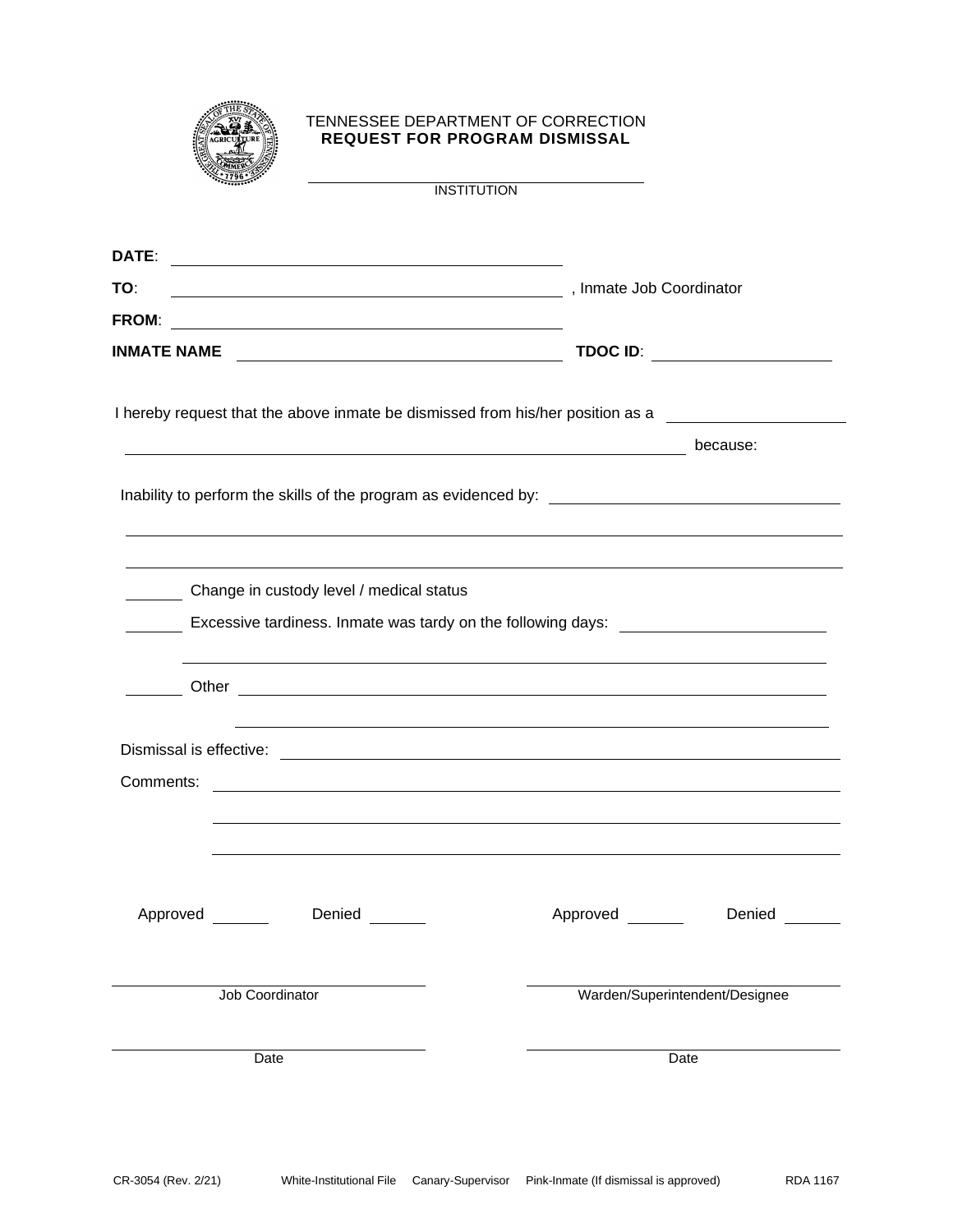| TENNESSEE DEPARTMENT OF CORRECTION<br><b>REQUEST FOR PROGRAM DISMISSAL</b> |                                                                                                                      |                                                                                                                                                                                                                                |                   |
|----------------------------------------------------------------------------|----------------------------------------------------------------------------------------------------------------------|--------------------------------------------------------------------------------------------------------------------------------------------------------------------------------------------------------------------------------|-------------------|
|                                                                            |                                                                                                                      | <b>INSTITUTION</b>                                                                                                                                                                                                             |                   |
| DATE:                                                                      | <u> 1980 - Johann Barn, mars ann an t-Amhain Aonaich an t-Aonaich an t-Aonaich ann an t-Aonaich ann an t-Aonaich</u> |                                                                                                                                                                                                                                |                   |
| TO:                                                                        |                                                                                                                      | Department of the set of the set of the set of the set of the set of the set of the set of the set of the set of the set of the set of the set of the set of the set of the set of the set of the set of the set of the set of |                   |
| FROM:                                                                      |                                                                                                                      |                                                                                                                                                                                                                                |                   |
| <b>INMATE NAME</b>                                                         |                                                                                                                      |                                                                                                                                                                                                                                |                   |
|                                                                            |                                                                                                                      | I hereby request that the above inmate be dismissed from his/her position as a _____________________                                                                                                                           |                   |
|                                                                            |                                                                                                                      |                                                                                                                                                                                                                                | because:          |
|                                                                            |                                                                                                                      |                                                                                                                                                                                                                                |                   |
|                                                                            |                                                                                                                      |                                                                                                                                                                                                                                |                   |
|                                                                            |                                                                                                                      |                                                                                                                                                                                                                                |                   |
|                                                                            |                                                                                                                      |                                                                                                                                                                                                                                |                   |
|                                                                            | Change in custody level / medical status                                                                             |                                                                                                                                                                                                                                |                   |
|                                                                            |                                                                                                                      | Excessive tardiness. Inmate was tardy on the following days: ___________________                                                                                                                                               |                   |
|                                                                            |                                                                                                                      |                                                                                                                                                                                                                                |                   |
|                                                                            |                                                                                                                      |                                                                                                                                                                                                                                |                   |
|                                                                            |                                                                                                                      |                                                                                                                                                                                                                                |                   |
|                                                                            |                                                                                                                      |                                                                                                                                                                                                                                |                   |
| Comments:                                                                  |                                                                                                                      |                                                                                                                                                                                                                                |                   |
|                                                                            |                                                                                                                      |                                                                                                                                                                                                                                |                   |
|                                                                            |                                                                                                                      |                                                                                                                                                                                                                                |                   |
|                                                                            |                                                                                                                      |                                                                                                                                                                                                                                |                   |
| Approved                                                                   | Denied<br>_________                                                                                                  | Approved <u>example</u>                                                                                                                                                                                                        | Denied<br>_______ |
|                                                                            |                                                                                                                      |                                                                                                                                                                                                                                |                   |
|                                                                            | Job Coordinator                                                                                                      | Warden/Superintendent/Designee                                                                                                                                                                                                 |                   |
|                                                                            |                                                                                                                      |                                                                                                                                                                                                                                |                   |
|                                                                            |                                                                                                                      |                                                                                                                                                                                                                                |                   |
|                                                                            | Date                                                                                                                 | Date                                                                                                                                                                                                                           |                   |
|                                                                            |                                                                                                                      |                                                                                                                                                                                                                                |                   |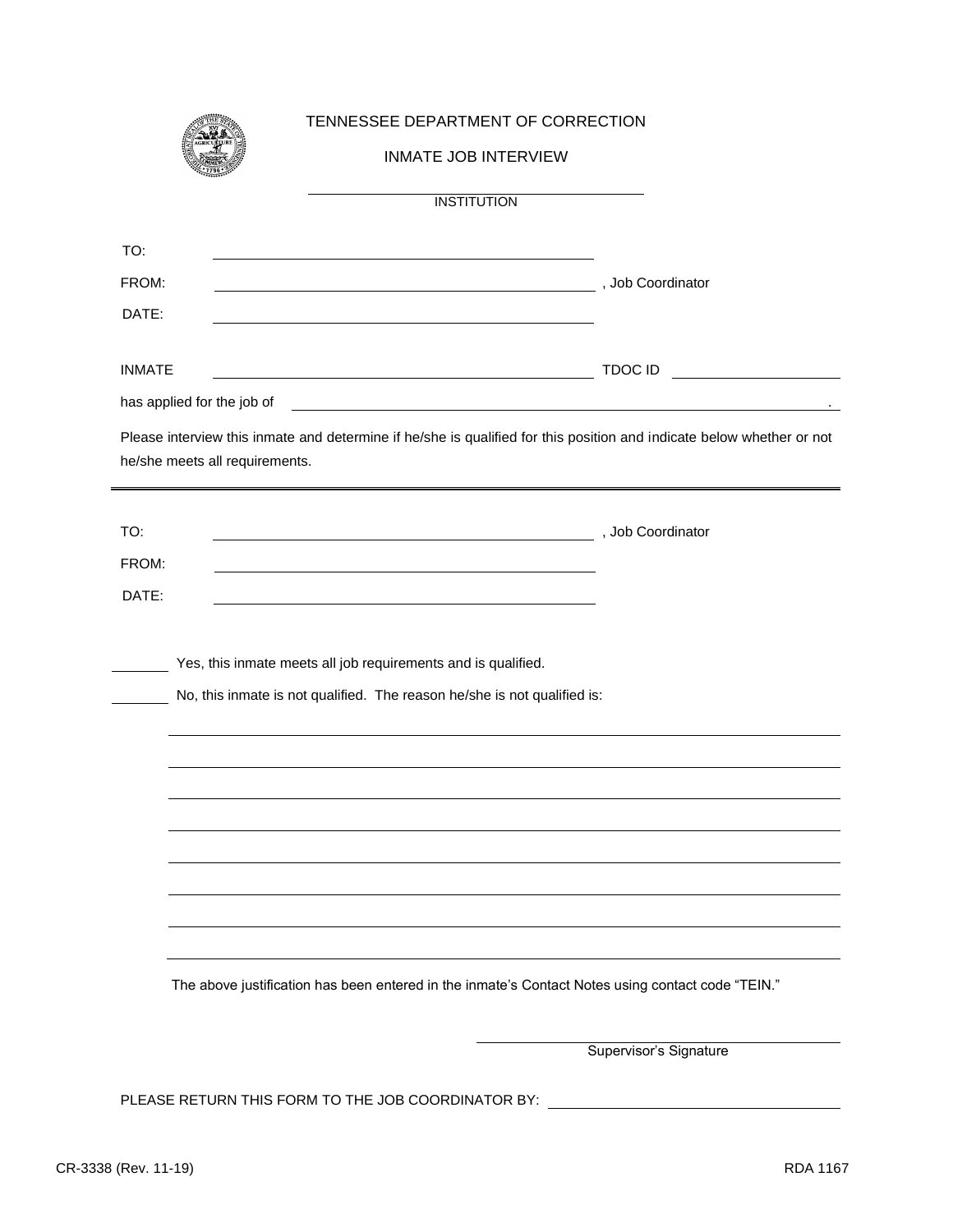|                                                                          | TENNESSEE DEPARTMENT OF CORRECTION                                                                                                                                                                                             |                                                                                                                                 |
|--------------------------------------------------------------------------|--------------------------------------------------------------------------------------------------------------------------------------------------------------------------------------------------------------------------------|---------------------------------------------------------------------------------------------------------------------------------|
|                                                                          | <b>INMATE JOB INTERVIEW</b>                                                                                                                                                                                                    |                                                                                                                                 |
|                                                                          | <b>INSTITUTION</b>                                                                                                                                                                                                             |                                                                                                                                 |
| TO:                                                                      |                                                                                                                                                                                                                                |                                                                                                                                 |
| FROM:                                                                    |                                                                                                                                                                                                                                |                                                                                                                                 |
| DATE:                                                                    |                                                                                                                                                                                                                                |                                                                                                                                 |
| <b>INMATE</b>                                                            | <u> 1980 - Johann Barn, mars ann an t-Amhain Aonaich an t-Aonaich an t-Aonaich ann an t-Aonaich ann an t-Aonaich</u>                                                                                                           | TDOC ID<br><u> 1989 - Jan Stein Stein Stein Stein Stein Stein Stein Stein Stein Stein Stein Stein Stein Stein Stein Stein S</u> |
|                                                                          |                                                                                                                                                                                                                                |                                                                                                                                 |
|                                                                          | Please interview this inmate and determine if he/she is qualified for this position and indicate below whether or not<br>he/she meets all requirements.                                                                        |                                                                                                                                 |
| TO:                                                                      | design and the control of the control of the control of the control of the control of the control of the control of the control of the control of the control of the control of the control of the control of the control of t |                                                                                                                                 |
| FROM:                                                                    |                                                                                                                                                                                                                                |                                                                                                                                 |
| DATE:                                                                    |                                                                                                                                                                                                                                |                                                                                                                                 |
|                                                                          |                                                                                                                                                                                                                                |                                                                                                                                 |
|                                                                          | Yes, this inmate meets all job requirements and is qualified.                                                                                                                                                                  |                                                                                                                                 |
| No, this inmate is not qualified. The reason he/she is not qualified is: |                                                                                                                                                                                                                                |                                                                                                                                 |
|                                                                          |                                                                                                                                                                                                                                |                                                                                                                                 |
|                                                                          |                                                                                                                                                                                                                                |                                                                                                                                 |
|                                                                          |                                                                                                                                                                                                                                |                                                                                                                                 |
|                                                                          |                                                                                                                                                                                                                                |                                                                                                                                 |
|                                                                          |                                                                                                                                                                                                                                |                                                                                                                                 |
|                                                                          |                                                                                                                                                                                                                                |                                                                                                                                 |
|                                                                          | The above justification has been entered in the inmate's Contact Notes using contact code "TEIN."                                                                                                                              |                                                                                                                                 |
|                                                                          |                                                                                                                                                                                                                                | Supervisor's Signature                                                                                                          |

PLEASE RETURN THIS FORM TO THE JOB COORDINATOR BY: \_\_\_\_\_\_\_\_\_\_\_\_\_\_\_\_\_\_\_\_\_\_\_\_\_\_\_\_\_